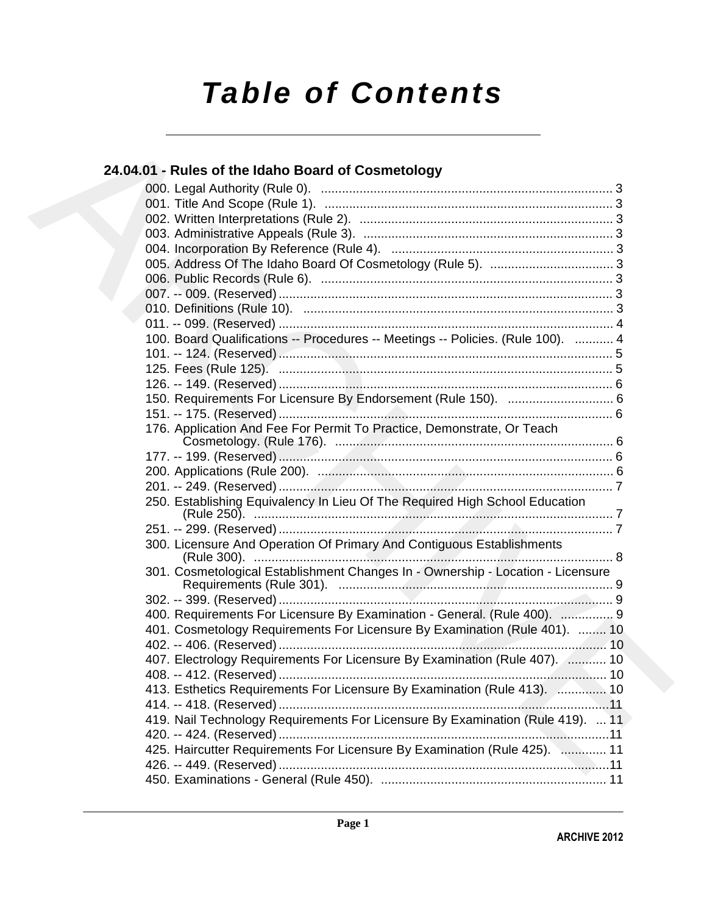# *Table of Contents*

### **24.04.01 - Rules of the Idaho Board of Cosmetology**

| 24.04.01 - Rules of the Idaho Board of Cosmetology                              |
|---------------------------------------------------------------------------------|
|                                                                                 |
|                                                                                 |
|                                                                                 |
|                                                                                 |
|                                                                                 |
|                                                                                 |
|                                                                                 |
|                                                                                 |
|                                                                                 |
|                                                                                 |
| 100. Board Qualifications -- Procedures -- Meetings -- Policies. (Rule 100).  4 |
|                                                                                 |
|                                                                                 |
|                                                                                 |
| 150. Requirements For Licensure By Endorsement (Rule 150).  6                   |
|                                                                                 |
| 176. Application And Fee For Permit To Practice, Demonstrate, Or Teach          |
|                                                                                 |
|                                                                                 |
|                                                                                 |
| 250. Establishing Equivalency In Lieu Of The Required High School Education     |
|                                                                                 |
| 300. Licensure And Operation Of Primary And Contiguous Establishments           |
| 301. Cosmetological Establishment Changes In - Ownership - Location - Licensure |
|                                                                                 |
| 400. Requirements For Licensure By Examination - General. (Rule 400).  9        |
| 401. Cosmetology Requirements For Licensure By Examination (Rule 401).  10      |
|                                                                                 |
| 407. Electrology Requirements For Licensure By Examination (Rule 407).  10      |
|                                                                                 |
| 413. Esthetics Requirements For Licensure By Examination (Rule 413).  10        |
|                                                                                 |
| 419. Nail Technology Requirements For Licensure By Examination (Rule 419).  11  |
|                                                                                 |
| 425. Haircutter Requirements For Licensure By Examination (Rule 425).  11       |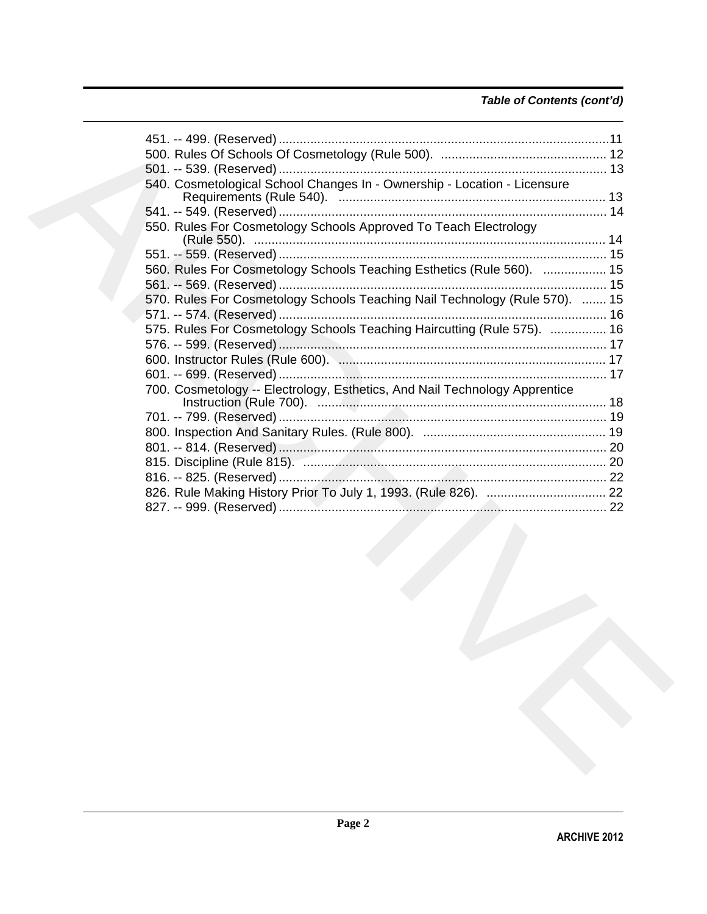### *Table of Contents (cont'd)*

| 540. Cosmetological School Changes In - Ownership - Location - Licensure    |  |
|-----------------------------------------------------------------------------|--|
|                                                                             |  |
|                                                                             |  |
| 550. Rules For Cosmetology Schools Approved To Teach Electrology            |  |
|                                                                             |  |
|                                                                             |  |
| 560. Rules For Cosmetology Schools Teaching Esthetics (Rule 560).  15       |  |
|                                                                             |  |
| 570. Rules For Cosmetology Schools Teaching Nail Technology (Rule 570).  15 |  |
|                                                                             |  |
| 575. Rules For Cosmetology Schools Teaching Haircutting (Rule 575).  16     |  |
|                                                                             |  |
|                                                                             |  |
|                                                                             |  |
| 700. Cosmetology -- Electrology, Esthetics, And Nail Technology Apprentice  |  |
|                                                                             |  |
|                                                                             |  |
|                                                                             |  |
|                                                                             |  |
|                                                                             |  |
|                                                                             |  |
|                                                                             |  |
|                                                                             |  |
|                                                                             |  |
|                                                                             |  |
|                                                                             |  |
|                                                                             |  |
|                                                                             |  |
|                                                                             |  |
|                                                                             |  |
|                                                                             |  |
|                                                                             |  |
|                                                                             |  |
|                                                                             |  |
|                                                                             |  |
|                                                                             |  |
|                                                                             |  |
|                                                                             |  |
|                                                                             |  |
|                                                                             |  |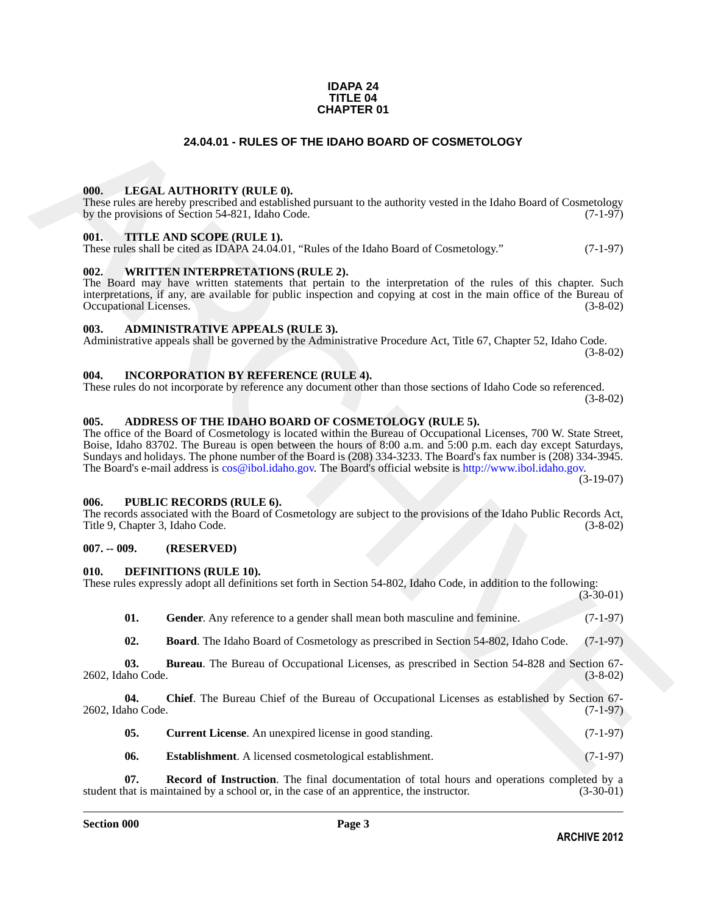### **IDAPA 24 TITLE 04 CHAPTER 01**

### **24.04.01 - RULES OF THE IDAHO BOARD OF COSMETOLOGY**

### <span id="page-2-1"></span><span id="page-2-0"></span>**000. LEGAL AUTHORITY (RULE 0).**

These rules are hereby prescribed and established pursuant to the authority vested in the Idaho Board of Cosmetology by the provisions of Section 54-821, Idaho Code. (7-1-97) by the provisions of Section 54-821, Idaho Code.

### <span id="page-2-2"></span>**001. TITLE AND SCOPE (RULE 1).**

These rules shall be cited as IDAPA 24.04.01, "Rules of the Idaho Board of Cosmetology." (7-1-97)

### <span id="page-2-3"></span>**002. WRITTEN INTERPRETATIONS (RULE 2).**

The Board may have written statements that pertain to the interpretation of the rules of this chapter. Such interpretations, if any, are available for public inspection and copying at cost in the main office of the Bureau of Occupational Licenses.

### <span id="page-2-4"></span>**003. ADMINISTRATIVE APPEALS (RULE 3).**

Administrative appeals shall be governed by the Administrative Procedure Act, Title 67, Chapter 52, Idaho Code. (3-8-02)

### <span id="page-2-5"></span>**004. INCORPORATION BY REFERENCE (RULE 4).**

These rules do not incorporate by reference any document other than those sections of Idaho Code so referenced. (3-8-02)

### <span id="page-2-10"></span><span id="page-2-6"></span>**005. ADDRESS OF THE IDAHO BOARD OF COSMETOLOGY (RULE 5).**

**24.04.01 - RULES OF THE IDAHO BOARD OF COSMETOLOGY<br>
1001.** IDENTIFICANTY (RLLE)<br>
The relation whether presents and administrational Lieman to the authority vessel in the Island Board of Commission<br>
by the providince of S The office of the Board of Cosmetology is located within the Bureau of Occupational Licenses, 700 W. State Street, Boise, Idaho 83702. The Bureau is open between the hours of 8:00 a.m. and 5:00 p.m. each day except Saturdays, Sundays and holidays. The phone number of the Board is (208) 334-3233. The Board's fax number is (208) 334-3945. The Board's e-mail address is cos@ibol.idaho.gov. The Board's official website is http://www.ibol.idaho.gov.

(3-19-07)

### <span id="page-2-7"></span>**006. PUBLIC RECORDS (RULE 6).**

The records associated with the Board of Cosmetology are subject to the provisions of the Idaho Public Records Act, Title 9, Chapter 3, Idaho Code. (3-8-02)

### <span id="page-2-8"></span>**007. -- 009. (RESERVED)**

### <span id="page-2-11"></span><span id="page-2-9"></span>**010. DEFINITIONS (RULE 10).**

These rules expressly adopt all definitions set forth in Section 54-802, Idaho Code, in addition to the following:

(3-30-01)

<span id="page-2-17"></span>

| 01. | <b>Gender.</b> Any reference to a gender shall mean both masculine and feminine. | $(7-1-97)$ |
|-----|----------------------------------------------------------------------------------|------------|
|     |                                                                                  |            |

<span id="page-2-13"></span><span id="page-2-12"></span>**02. Board**. The Idaho Board of Cosmetology as prescribed in Section 54-802, Idaho Code. (7-1-97)

**03. Bureau**. The Bureau of Occupational Licenses, as prescribed in Section 54-828 and Section 67- 2602, Idaho Code. (3-8-02)

**04.** Chief. The Bureau Chief of the Bureau of Occupational Licenses as established by Section 67-<br>(7-1-97) 2602, Idaho Code.

- <span id="page-2-15"></span><span id="page-2-14"></span>**05.** Current License. An unexpired license in good standing. (7-1-97)
- <span id="page-2-18"></span><span id="page-2-16"></span>**06.** Establishment. A licensed cosmetological establishment. (7-1-97)

**Record of Instruction**. The final documentation of total hours and operations completed by a intained by a school or, in the case of an apprentice, the instructor. (3-30-01) student that is maintained by a school or, in the case of an apprentice, the instructor.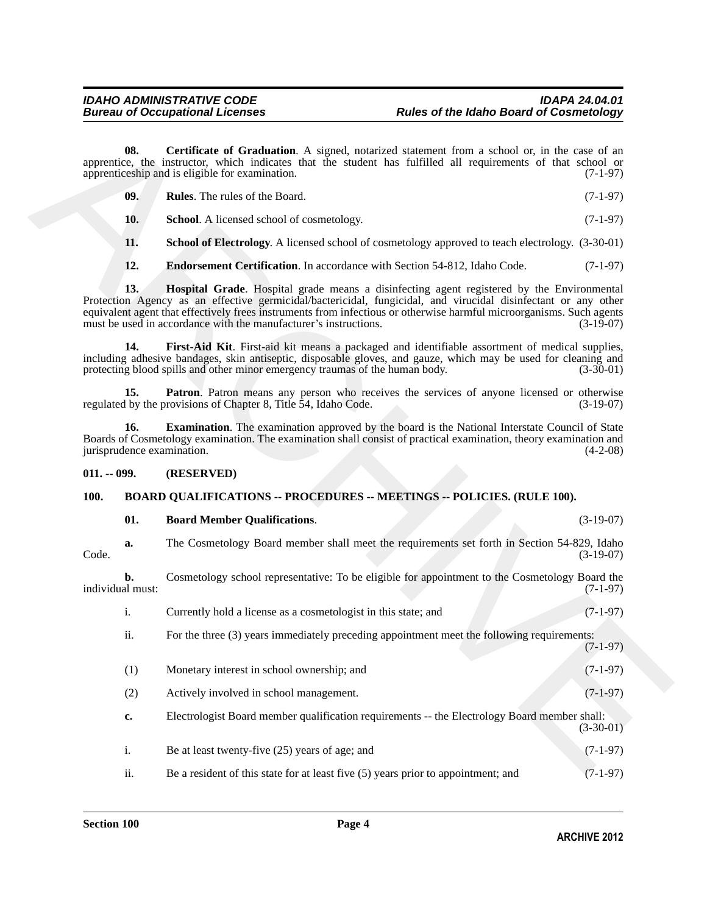<span id="page-3-12"></span><span id="page-3-11"></span><span id="page-3-10"></span><span id="page-3-8"></span><span id="page-3-7"></span><span id="page-3-5"></span><span id="page-3-4"></span>

| - 09. | <b>Rules.</b> The rules of the Board. | $(7-1-97)$ |
|-------|---------------------------------------|------------|
|       |                                       |            |

### <span id="page-3-9"></span><span id="page-3-6"></span><span id="page-3-0"></span>**011. -- 099. (RESERVED)**

### <span id="page-3-1"></span>**100. BOARD QUALIFICATIONS -- PROCEDURES -- MEETINGS -- POLICIES. (RULE 100).**

### <span id="page-3-3"></span><span id="page-3-2"></span>**01. Board Member Qualifications**. (3-19-07)

|               | 08.                    | <b>Certificate of Graduation.</b> A signed, notarized statement from a school or, in the case of an<br>apprentice, the instructor, which indicates that the student has fulfilled all requirements of that school or<br>apprenticeship and is eligible for examination.                                                                                                                                 | $(7-1-97)$  |
|---------------|------------------------|---------------------------------------------------------------------------------------------------------------------------------------------------------------------------------------------------------------------------------------------------------------------------------------------------------------------------------------------------------------------------------------------------------|-------------|
|               | 09.                    | Rules. The rules of the Board.                                                                                                                                                                                                                                                                                                                                                                          | $(7-1-97)$  |
|               | 10.                    | School. A licensed school of cosmetology.                                                                                                                                                                                                                                                                                                                                                               | $(7-1-97)$  |
|               | 11.                    | School of Electrology. A licensed school of cosmetology approved to teach electrology. (3-30-01)                                                                                                                                                                                                                                                                                                        |             |
|               | 12.                    | Endorsement Certification. In accordance with Section 54-812, Idaho Code.                                                                                                                                                                                                                                                                                                                               | $(7-1-97)$  |
|               | 13.                    | Hospital Grade. Hospital grade means a disinfecting agent registered by the Environmental<br>Protection Agency as an effective germicidal/bactericidal, fungicidal, and virucidal disinfectant or any other<br>equivalent agent that effectively frees instruments from infectious or otherwise harmful microorganisms. Such agents<br>must be used in accordance with the manufacturer's instructions. | $(3-19-07)$ |
|               | 14.                    | First-Aid Kit. First-aid kit means a packaged and identifiable assortment of medical supplies,<br>including adhesive bandages, skin antiseptic, disposable gloves, and gauze, which may be used for cleaning and<br>protecting blood spills and other minor emergency traumas of the human body.                                                                                                        | $(3-30-01)$ |
|               | 15.                    | Patron. Patron means any person who receives the services of anyone licensed or otherwise<br>regulated by the provisions of Chapter 8, Title 54, Idaho Code.                                                                                                                                                                                                                                            | $(3-19-07)$ |
|               | 16.                    | <b>Examination</b> . The examination approved by the board is the National Interstate Council of State<br>Boards of Cosmetology examination. The examination shall consist of practical examination, theory examination and<br>jurisprudence examination.                                                                                                                                               | $(4-2-08)$  |
| $011. - 099.$ |                        | (RESERVED)                                                                                                                                                                                                                                                                                                                                                                                              |             |
| <b>100.</b>   |                        | <b>BOARD QUALIFICATIONS -- PROCEDURES -- MEETINGS -- POLICIES. (RULE 100).</b>                                                                                                                                                                                                                                                                                                                          |             |
|               | 01.                    | <b>Board Member Qualifications.</b>                                                                                                                                                                                                                                                                                                                                                                     | $(3-19-07)$ |
| Code.         | a.                     | The Cosmetology Board member shall meet the requirements set forth in Section 54-829, Idaho                                                                                                                                                                                                                                                                                                             | $(3-19-07)$ |
|               | b.<br>individual must: | Cosmetology school representative: To be eligible for appointment to the Cosmetology Board the                                                                                                                                                                                                                                                                                                          | $(7-1-97)$  |
|               | i.                     | Currently hold a license as a cosmetologist in this state; and                                                                                                                                                                                                                                                                                                                                          | $(7-1-97)$  |
|               | ii.                    | For the three (3) years immediately preceding appointment meet the following requirements:                                                                                                                                                                                                                                                                                                              | $(7-1-97)$  |
|               | (1)                    | Monetary interest in school ownership; and                                                                                                                                                                                                                                                                                                                                                              | $(7-1-97)$  |
|               | (2)                    | Actively involved in school management.                                                                                                                                                                                                                                                                                                                                                                 | $(7-1-97)$  |
|               | c.                     | Electrologist Board member qualification requirements -- the Electrology Board member shall:                                                                                                                                                                                                                                                                                                            | $(3-30-01)$ |
|               | $\mathbf{i}$ .         | Be at least twenty-five (25) years of age; and                                                                                                                                                                                                                                                                                                                                                          | $(7-1-97)$  |
|               | ii.                    | Be a resident of this state for at least five $(5)$ years prior to appointment; and                                                                                                                                                                                                                                                                                                                     | $(7-1-97)$  |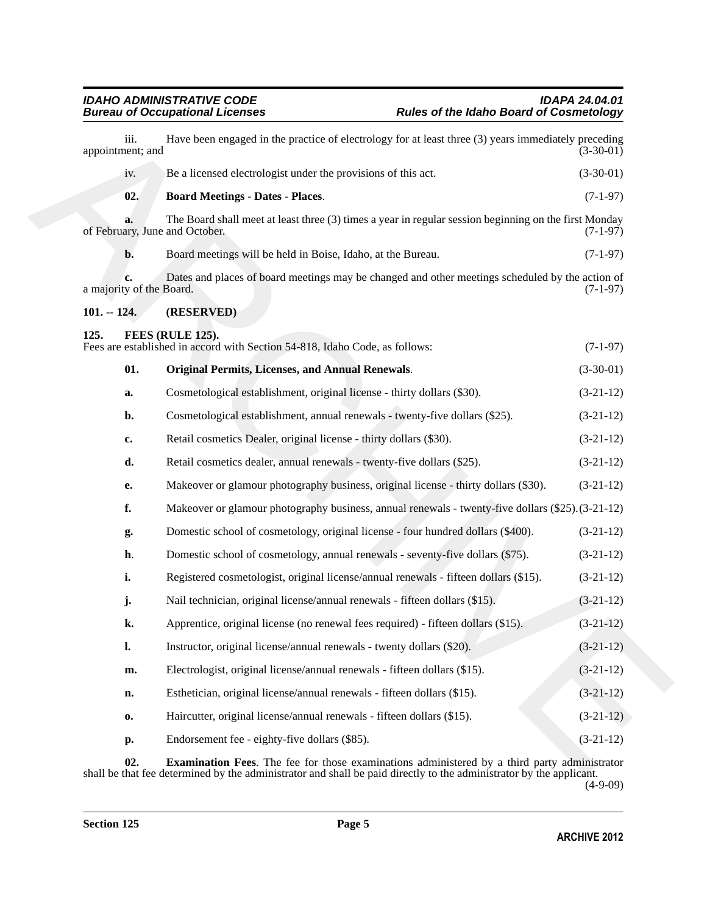<span id="page-4-5"></span><span id="page-4-3"></span><span id="page-4-2"></span><span id="page-4-1"></span><span id="page-4-0"></span>

| iii.<br>appointment; and | Have been engaged in the practice of electrology for at least three (3) years immediately preceding                                     | $(3-30-01)$ |
|--------------------------|-----------------------------------------------------------------------------------------------------------------------------------------|-------------|
| iv.                      | Be a licensed electrologist under the provisions of this act.                                                                           | $(3-30-01)$ |
| 02.                      | <b>Board Meetings - Dates - Places.</b>                                                                                                 | $(7-1-97)$  |
| a.                       | The Board shall meet at least three (3) times a year in regular session beginning on the first Monday<br>of February, June and October. | $(7-1-97)$  |
| $\mathbf{b}$ .           | Board meetings will be held in Boise, Idaho, at the Bureau.                                                                             | $(7-1-97)$  |
| a majority of the Board. | Dates and places of board meetings may be changed and other meetings scheduled by the action of                                         | $(7-1-97)$  |
| $101. - 124.$            | (RESERVED)                                                                                                                              |             |
| 125.                     | FEES (RULE 125).<br>Fees are established in accord with Section 54-818, Idaho Code, as follows:                                         | $(7-1-97)$  |
| 01.                      | <b>Original Permits, Licenses, and Annual Renewals.</b>                                                                                 | $(3-30-01)$ |
| a.                       | Cosmetological establishment, original license - thirty dollars (\$30).                                                                 | $(3-21-12)$ |
| b.                       | Cosmetological establishment, annual renewals - twenty-five dollars (\$25).                                                             | $(3-21-12)$ |
| c.                       | Retail cosmetics Dealer, original license - thirty dollars (\$30).                                                                      | $(3-21-12)$ |
| d.                       | Retail cosmetics dealer, annual renewals - twenty-five dollars (\$25).                                                                  | $(3-21-12)$ |
| e.                       | Makeover or glamour photography business, original license - thirty dollars (\$30).                                                     | $(3-21-12)$ |
| f.                       | Makeover or glamour photography business, annual renewals - twenty-five dollars (\$25). (3-21-12)                                       |             |
| g.                       | Domestic school of cosmetology, original license - four hundred dollars (\$400).                                                        | $(3-21-12)$ |
| h.                       | Domestic school of cosmetology, annual renewals - seventy-five dollars (\$75).                                                          | $(3-21-12)$ |
| i.                       | Registered cosmetologist, original license/annual renewals - fifteen dollars (\$15).                                                    | $(3-21-12)$ |
| j.                       | Nail technician, original license/annual renewals - fifteen dollars (\$15).                                                             | $(3-21-12)$ |
| k.                       | Apprentice, original license (no renewal fees required) - fifteen dollars (\$15).                                                       | $(3-21-12)$ |
| $\mathbf{l}$ .           | Instructor, original license/annual renewals - twenty dollars (\$20).                                                                   | $(3-21-12)$ |
| m.                       | Electrologist, original license/annual renewals - fifteen dollars (\$15).                                                               | $(3-21-12)$ |
| n.                       | Esthetician, original license/annual renewals - fifteen dollars (\$15).                                                                 | $(3-21-12)$ |
| 0.                       | Haircutter, original license/annual renewals - fifteen dollars (\$15).                                                                  | $(3-21-12)$ |
| p.                       | Endorsement fee - eighty-five dollars (\$85).                                                                                           | $(3-21-12)$ |

<span id="page-4-4"></span>**02. Examination Fees**. The fee for those examinations administered by a third party administrator shall be that fee determined by the administrator and shall be paid directly to the administrator by the applicant.

(4-9-09)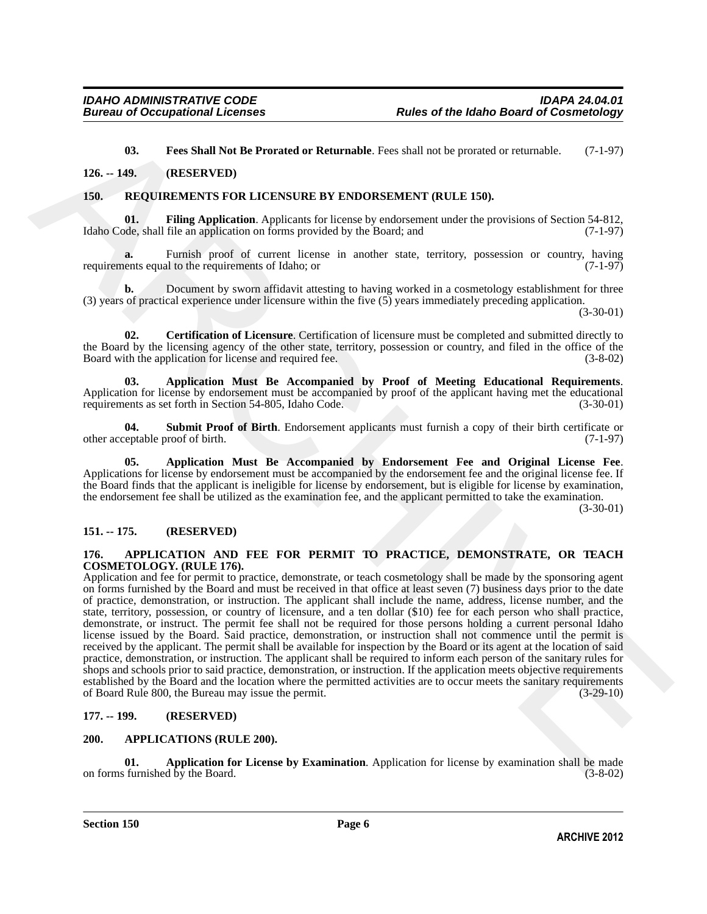<span id="page-5-14"></span><span id="page-5-10"></span><span id="page-5-9"></span>**03. Fees Shall Not Be Prorated or Returnable**. Fees shall not be prorated or returnable. (7-1-97)

<span id="page-5-0"></span>**126. -- 149. (RESERVED)**

### <span id="page-5-1"></span>**150. REQUIREMENTS FOR LICENSURE BY ENDORSEMENT (RULE 150).**

**01. Filing Application**. Applicants for license by endorsement under the provisions of Section 54-812, Idaho Code, shall file an application on forms provided by the Board; and (7-1-97)

**a.** Furnish proof of current license in another state, territory, possession or country, having ents equal to the requirements of Idaho; or (7-1-97) requirements equal to the requirements of Idaho; or

**b.** Document by sworn affidavit attesting to having worked in a cosmetology establishment for three (3) years of practical experience under licensure within the five (5) years immediately preceding application.

(3-30-01)

<span id="page-5-13"></span>**02. Certification of Licensure**. Certification of licensure must be completed and submitted directly to the Board by the licensing agency of the other state, territory, possession or country, and filed in the office of the Board with the application for license and required fee. (3-8-02)

<span id="page-5-12"></span>**03. Application Must Be Accompanied by Proof of Meeting Educational Requirements**. Application for license by endorsement must be accompanied by proof of the applicant having met the educational requirements as set forth in Section 54-805, Idaho Code. (3-30-01)

<span id="page-5-15"></span>**04.** Submit Proof of Birth. Endorsement applicants must furnish a copy of their birth certificate or eptable proof of birth. (7-1-97) other acceptable proof of birth.

<span id="page-5-11"></span>**05. Application Must Be Accompanied by Endorsement Fee and Original License Fee**. Applications for license by endorsement must be accompanied by the endorsement fee and the original license fee. If the Board finds that the applicant is ineligible for license by endorsement, but is eligible for license by examination, the endorsement fee shall be utilized as the examination fee, and the applicant permitted to take the examination.

(3-30-01)

### <span id="page-5-2"></span>**151. -- 175. (RESERVED)**

### <span id="page-5-6"></span><span id="page-5-3"></span>**176. APPLICATION AND FEE FOR PERMIT TO PRACTICE, DEMONSTRATE, OR TEACH COSMETOLOGY. (RULE 176).**

**CO. Fee. Shall Not the Provision of Reformable. Fees shall not he provision of section 34.812, 149.<br>
16. <b>ARCHIVENTYS POR LICENSTRE BY ENDORSENDENT QUILE 150**,<br> **ARCHIVENTS POR LICENSTRE BY ENDORSENDENT QUILE 150.**<br>
16 Application and fee for permit to practice, demonstrate, or teach cosmetology shall be made by the sponsoring agent on forms furnished by the Board and must be received in that office at least seven (7) business days prior to the date of practice, demonstration, or instruction. The applicant shall include the name, address, license number, and the state, territory, possession, or country of licensure, and a ten dollar (\$10) fee for each person who shall practice, demonstrate, or instruct. The permit fee shall not be required for those persons holding a current personal Idaho license issued by the Board. Said practice, demonstration, or instruction shall not commence until the permit is received by the applicant. The permit shall be available for inspection by the Board or its agent at the location of said practice, demonstration, or instruction. The applicant shall be required to inform each person of the sanitary rules for shops and schools prior to said practice, demonstration, or instruction. If the application meets objective requirements established by the Board and the location where the permitted activities are to occur meets the sanitary requirements of Board Rule 800, the Bureau may issue the permit. (3-29-10) of Board Rule 800, the Bureau may issue the permit.

### <span id="page-5-4"></span>**177. -- 199. (RESERVED)**

### <span id="page-5-7"></span><span id="page-5-5"></span>**200. APPLICATIONS (RULE 200).**

<span id="page-5-8"></span>**01. Application for License by Examination**. Application for license by examination shall be made furnished by the Board. (3-8-02) on forms furnished  $\overline{b}y$  the Board.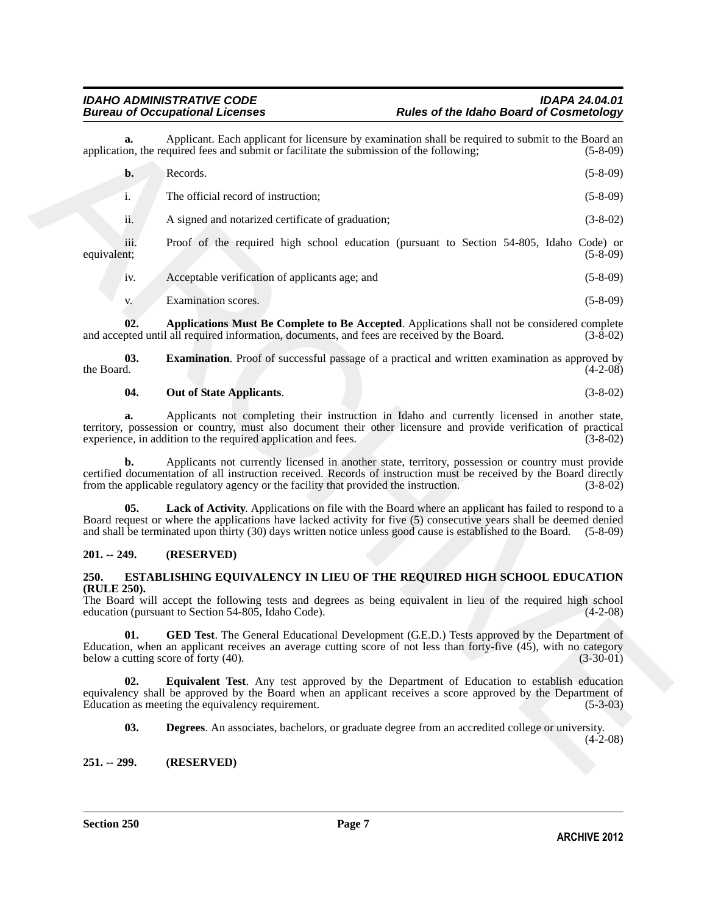| a.                  |                                                                                                                                                                                                                                                                                                                                                        |
|---------------------|--------------------------------------------------------------------------------------------------------------------------------------------------------------------------------------------------------------------------------------------------------------------------------------------------------------------------------------------------------|
|                     | Applicant. Each applicant for licensure by examination shall be required to submit to the Board an<br>application, the required fees and submit or facilitate the submission of the following;<br>$(5-8-09)$                                                                                                                                           |
| b.                  | Records.<br>$(5-8-09)$                                                                                                                                                                                                                                                                                                                                 |
| i.                  | The official record of instruction;<br>$(5-8-09)$                                                                                                                                                                                                                                                                                                      |
| ii.                 | $(3-8-02)$<br>A signed and notarized certificate of graduation;                                                                                                                                                                                                                                                                                        |
| iii.<br>equivalent; | Proof of the required high school education (pursuant to Section 54-805, Idaho Code) or<br>$(5-8-09)$                                                                                                                                                                                                                                                  |
| 1V.                 | Acceptable verification of applicants age; and<br>$(5-8-09)$                                                                                                                                                                                                                                                                                           |
| V.                  | Examination scores.<br>$(5-8-09)$                                                                                                                                                                                                                                                                                                                      |
| 02.                 | Applications Must Be Complete to Be Accepted. Applications shall not be considered complete<br>and accepted until all required information, documents, and fees are received by the Board.<br>$(3-8-02)$                                                                                                                                               |
| 03.<br>the Board.   | <b>Examination</b> . Proof of successful passage of a practical and written examination as approved by<br>$(4-2-08)$                                                                                                                                                                                                                                   |
| 04.                 | Out of State Applicants.<br>$(3-8-02)$                                                                                                                                                                                                                                                                                                                 |
| a.                  | Applicants not completing their instruction in Idaho and currently licensed in another state,<br>territory, possession or country, must also document their other licensure and provide verification of practical<br>experience, in addition to the required application and fees.<br>$(3-8-02)$                                                       |
| b.                  | Applicants not currently licensed in another state, territory, possession or country must provide<br>certified documentation of all instruction received. Records of instruction must be received by the Board directly<br>from the applicable regulatory agency or the facility that provided the instruction.<br>$(3-8-02)$                          |
| 05.                 | Lack of Activity. Applications on file with the Board where an applicant has failed to respond to a<br>Board request or where the applications have lacked activity for five (5) consecutive years shall be deemed denied<br>and shall be terminated upon thirty (30) days written notice unless good cause is established to the Board.<br>$(5-8-09)$ |
| $201. - 249.$       | (RESERVED)                                                                                                                                                                                                                                                                                                                                             |
| 250.                | ESTABLISHING EQUIVALENCY IN LIEU OF THE REQUIRED HIGH SCHOOL EDUCATION                                                                                                                                                                                                                                                                                 |
| (RULE 250).         | The Board will accept the following tests and degrees as being equivalent in lieu of the required high school                                                                                                                                                                                                                                          |
|                     | education (pursuant to Section 54-805, Idaho Code).<br>$(4-2-08)$                                                                                                                                                                                                                                                                                      |
| 01.                 | <b>GED Test.</b> The General Educational Development (G.E.D.) Tests approved by the Department of<br>Education, when an applicant receives an average cutting score of not less than forty-five (45), with no category<br>below a cutting score of forty (40).<br>$(3-30-01)$                                                                          |
| 02.                 | <b>Equivalent Test.</b> Any test approved by the Department of Education to establish education<br>equivalency shall be approved by the Board when an applicant receives a score approved by the Department of<br>Education as meeting the equivalency requirement.<br>$(5-3-03)$                                                                      |
| 03.                 | Degrees. An associates, bachelors, or graduate degree from an accredited college or university.<br>$(4-2-08)$                                                                                                                                                                                                                                          |

### <span id="page-6-6"></span><span id="page-6-4"></span><span id="page-6-3"></span>**04. Out of State Applicants**. (3-8-02)

### <span id="page-6-5"></span><span id="page-6-0"></span>**201. -- 249. (RESERVED)**

### <span id="page-6-10"></span><span id="page-6-7"></span><span id="page-6-1"></span>**250. ESTABLISHING EQUIVALENCY IN LIEU OF THE REQUIRED HIGH SCHOOL EDUCATION (RULE 250).**

### <span id="page-6-9"></span><span id="page-6-8"></span><span id="page-6-2"></span>**251. -- 299. (RESERVED)**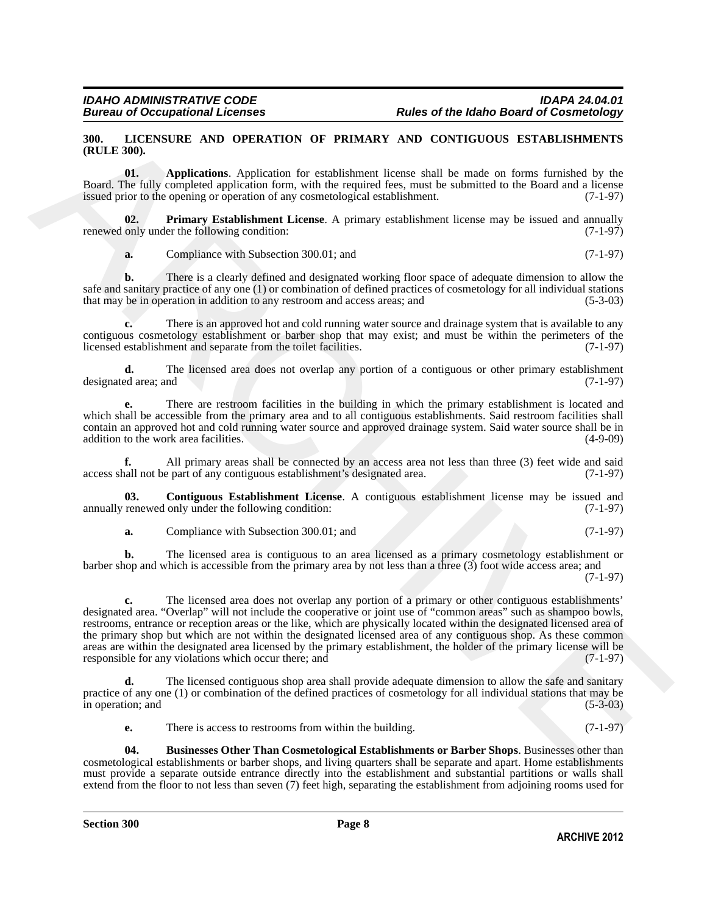### <span id="page-7-1"></span><span id="page-7-0"></span>**300. LICENSURE AND OPERATION OF PRIMARY AND CONTIGUOUS ESTABLISHMENTS (RULE 300).**

<span id="page-7-2"></span>**01. Applications**. Application for establishment license shall be made on forms furnished by the Board. The fully completed application form, with the required fees, must be submitted to the Board and a license issued prior to the opening or operation of any cosmetological establishment. (7-1-97)

**02. Primary Establishment License**. A primary establishment license may be issued and annually only under the following condition: (7-1-97) renewed only under the following condition:

<span id="page-7-5"></span>**a.** Compliance with Subsection 300.01; and (7-1-97)

**b.** There is a clearly defined and designated working floor space of adequate dimension to allow the safe and sanitary practice of any one (1) or combination of defined practices of cosmetology for all individual stations that may be in operation in addition to any restroom and access areas; and (5-3-03)

**c.** There is an approved hot and cold running water source and drainage system that is available to any contiguous cosmetology establishment or barber shop that may exist; and must be within the perimeters of the licensed establishment and separate from the toilet facilities. (7-1-97)

**d.** The licensed area does not overlap any portion of a contiguous or other primary establishment ed area: and (7-1-97) designated area; and

**e.** There are restroom facilities in the building in which the primary establishment is located and which shall be accessible from the primary area and to all contiguous establishments. Said restroom facilities shall contain an approved hot and cold running water source and approved drainage system. Said water source shall be in addition to the work area facilities.

**f.** All primary areas shall be connected by an access area not less than three (3) feet wide and said access shall not be part of any contiguous establishment's designated area. (7-1-97)

**03.** Contiguous Establishment License. A contiguous establishment license may be issued and renewed only under the following condition: (7-1-97) annually renewed only under the following condition:

<span id="page-7-4"></span>**a.** Compliance with Subsection 300.01; and (7-1-97)

**b.** The licensed area is contiguous to an area licensed as a primary cosmetology establishment or barber shop and which is accessible from the primary area by not less than a three (3) foot wide access area; and

(7-1-97)

30a. ITCFNSTER AND OPERATION OP PRIVARY AND CONTICIOUS ESTAINISTNEYS<br>
(RL.I.E.300).<br>
Card The fight completed application (see also that the sequence is the fight completed application for section for the sequence of the **c.** The licensed area does not overlap any portion of a primary or other contiguous establishments' designated area. "Overlap" will not include the cooperative or joint use of "common areas" such as shampoo bowls, restrooms, entrance or reception areas or the like, which are physically located within the designated licensed area of the primary shop but which are not within the designated licensed area of any contiguous shop. As these common areas are within the designated area licensed by the primary establishment, the holder of the primary license will be responsible for any violations which occur there; and (7-1-97) responsible for any violations which occur there; and

The licensed contiguous shop area shall provide adequate dimension to allow the safe and sanitary practice of any one (1) or combination of the defined practices of cosmetology for all individual stations that may be in operation; and (5-3-03) in operation; and

<span id="page-7-3"></span>**e.** There is access to restrooms from within the building. (7-1-97)

**04. Businesses Other Than Cosmetological Establishments or Barber Shops**. Businesses other than cosmetological establishments or barber shops, and living quarters shall be separate and apart. Home establishments must provide a separate outside entrance directly into the establishment and substantial partitions or walls shall extend from the floor to not less than seven (7) feet high, separating the establishment from adjoining rooms used for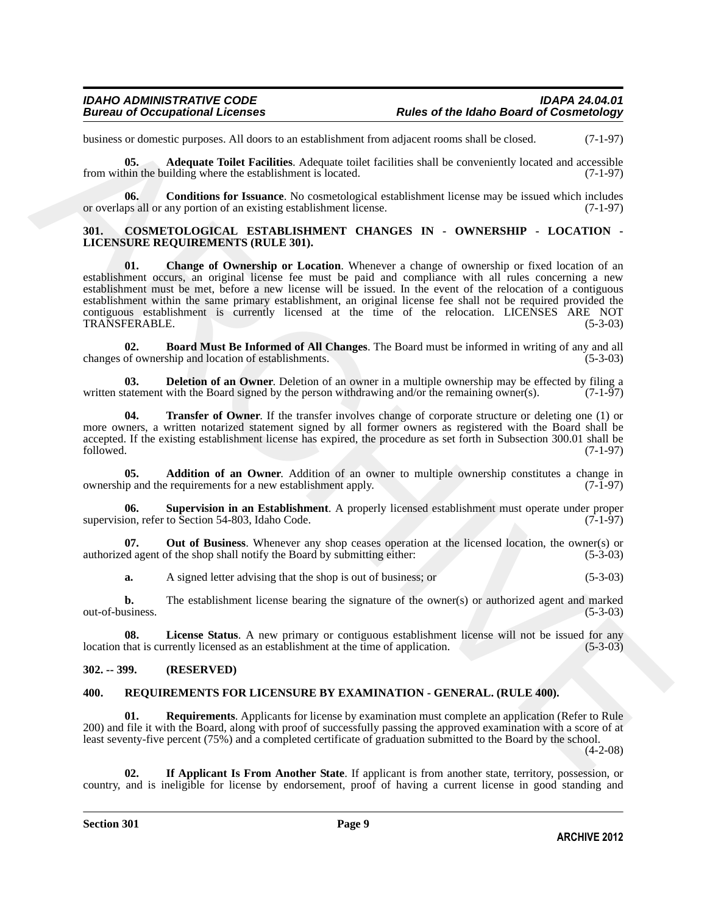business or domestic purposes. All doors to an establishment from adjacent rooms shall be closed. (7-1-97)

<span id="page-8-12"></span>**05. Adequate Toilet Facilities**. Adequate toilet facilities shall be conveniently located and accessible from within the building where the establishment is located. (7-1-97)

<span id="page-8-13"></span>**06. Conditions for Issuance**. No cosmetological establishment license may be issued which includes ups all or any portion of an existing establishment license. (7-1-97) or overlaps all or any portion of an existing establishment license.

### <span id="page-8-6"></span><span id="page-8-3"></span><span id="page-8-0"></span>**301. COSMETOLOGICAL ESTABLISHMENT CHANGES IN - OWNERSHIP - LOCATION - LICENSURE REQUIREMENTS (RULE 301).**

hadron of differential purposes. All down to an earth bitmes in the absent means that he cloud.<br>
The worldstrake different linear states and the conventions between the states and the conventions between the conventions o **01. Change of Ownership or Location**. Whenever a change of ownership or fixed location of an establishment occurs, an original license fee must be paid and compliance with all rules concerning a new establishment must be met, before a new license will be issued. In the event of the relocation of a contiguous establishment within the same primary establishment, an original license fee shall not be required provided the contiguous establishment is currently licensed at the time of the relocation. LICENSES ARE NOT TRANSFERABLE. (5-3-03) TRANSFERABLE.

<span id="page-8-5"></span>**02. Board Must Be Informed of All Changes**. The Board must be informed in writing of any and all changes of ownership and location of establishments.

<span id="page-8-7"></span>**03. Deletion of an Owner**. Deletion of an owner in a multiple ownership may be effected by filing a tatement with the Board signed by the person withdrawing and/or the remaining owner(s). (7-1-97) written statement with the Board signed by the person withdrawing and/or the remaining owner(s).

<span id="page-8-11"></span>**04. Transfer of Owner**. If the transfer involves change of corporate structure or deleting one (1) or more owners, a written notarized statement signed by all former owners as registered with the Board shall be accepted. If the existing establishment license has expired, the procedure as set forth in Subsection 300.01 shall be followed. (7-1-97) followed. (7-1-97)

<span id="page-8-4"></span>**05. Addition of an Owner**. Addition of an owner to multiple ownership constitutes a change in ownership and the requirements for a new establishment apply. (7-1-97)

<span id="page-8-10"></span>**06. Supervision in an Establishment**. A properly licensed establishment must operate under proper supervision, refer to Section 54-803, Idaho Code. (7-1-97)

**07. Out of Business**. Whenever any shop ceases operation at the licensed location, the owner(s) or authorized agent of the shop shall notify the Board by submitting either: (5-3-03)

<span id="page-8-9"></span><span id="page-8-8"></span>**a.** A signed letter advising that the shop is out of business; or (5-3-03)

**b.** The establishment license bearing the signature of the owner(s) or authorized agent and marked out-of-business. (5-3-03)

**08.** License Status. A new primary or contiguous establishment license will not be issued for any that is currently licensed as an establishment at the time of application. (5-3-03) location that is currently licensed as an establishment at the time of application.

### <span id="page-8-1"></span>**302. -- 399. (RESERVED)**

### <span id="page-8-16"></span><span id="page-8-14"></span><span id="page-8-2"></span>**400. REQUIREMENTS FOR LICENSURE BY EXAMINATION - GENERAL. (RULE 400).**

**01.** Requirements. Applicants for license by examination must complete an application (Refer to Rule) 200) and file it with the Board, along with proof of successfully passing the approved examination with a score of at least seventy-five percent (75%) and a completed certificate of graduation submitted to the Board by the school.

 $(4-2-08)$ 

<span id="page-8-15"></span>**02. If Applicant Is From Another State**. If applicant is from another state, territory, possession, or country, and is ineligible for license by endorsement, proof of having a current license in good standing and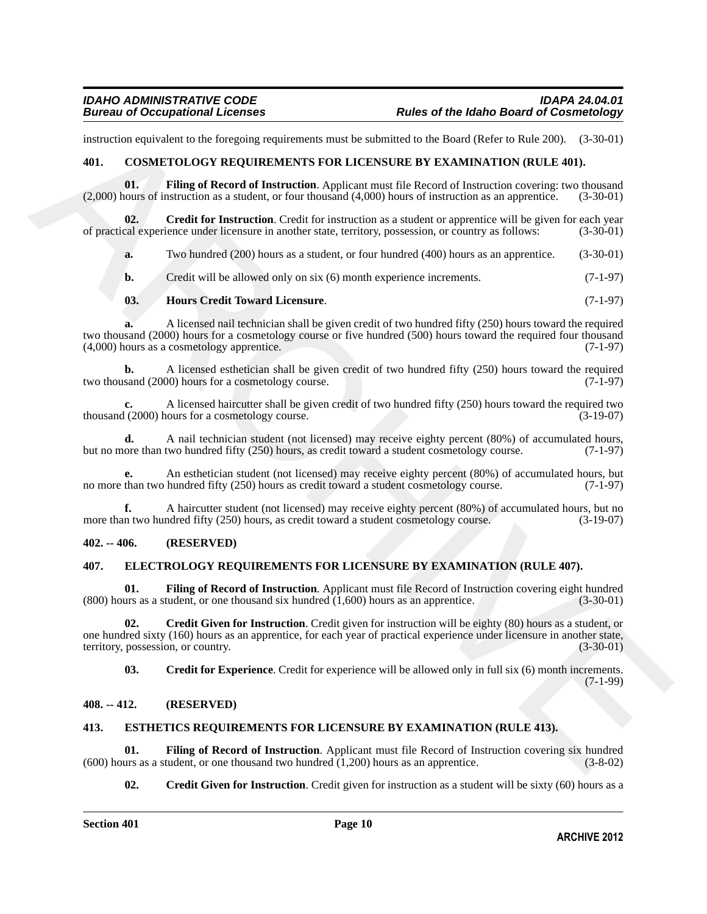instruction equivalent to the foregoing requirements must be submitted to the Board (Refer to Rule 200). (3-30-01)

### <span id="page-9-5"></span><span id="page-9-0"></span>**401. COSMETOLOGY REQUIREMENTS FOR LICENSURE BY EXAMINATION (RULE 401).**

<span id="page-9-7"></span>**01. Filing of Record of Instruction**. Applicant must file Record of Instruction covering: two thousand (2,000) hours of instruction as a student, or four thousand (4,000) hours of instruction as an apprentice. (3-30-01)

**02.** Credit for Instruction. Credit for instruction as a student or apprentice will be given for each year cal experience under licensure in another state, territory, possession, or country as follows: (3-30-01) of practical experience under licensure in another state, territory, possession, or country as follows:

<span id="page-9-6"></span>**a.** Two hundred (200) hours as a student, or four hundred (400) hours as an apprentice. (3-30-01)

**b.** Credit will be allowed only on six (6) month experience increments. (7-1-97)

### <span id="page-9-8"></span>**03. Hours Credit Toward Licensure**. (7-1-97)

**a.** A licensed nail technician shall be given credit of two hundred fifty (250) hours toward the required two thousand (2000) hours for a cosmetology course or five hundred (500) hours toward the required four thousand (4,000) hours as a cosmetology apprentice. (7-1-97)

**b.** A licensed esthetician shall be given credit of two hundred fifty (250) hours toward the required sand (2000) hours for a cosmetology course. two thousand (2000) hours for a cosmetology course.

**c.** A licensed haircutter shall be given credit of two hundred fifty (250) hours toward the required two thousand (2000) hours for a cosmetology course. (3-19-07)

**d.** A nail technician student (not licensed) may receive eighty percent (80%) of accumulated hours, ore than two hundred fifty (250) hours, as credit toward a student cosmetology course. (7-1-97) but no more than two hundred fifty (250) hours, as credit toward a student cosmetology course.

An esthetician student (not licensed) may receive eighty percent (80%) of accumulated hours, but hundred fifty (250) hours as credit toward a student cosmetology course. (7-1-97) no more than two hundred fifty (250) hours as credit toward a student cosmetology course.

**f.** A haircutter student (not licensed) may receive eighty percent (80%) of accumulated hours, but no more than two hundred fifty (250) hours, as credit toward a student cosmetology course. (3-19-07)

### <span id="page-9-1"></span>**402. -- 406. (RESERVED)**

### <span id="page-9-9"></span><span id="page-9-2"></span>**407. ELECTROLOGY REQUIREMENTS FOR LICENSURE BY EXAMINATION (RULE 407).**

<span id="page-9-12"></span>**01.** Filing of Record of Instruction. Applicant must file Record of Instruction covering eight hundred (uss as a student, or one thousand six hundred (1.600) hours as an apprentice.  $(800)$  hours as a student, or one thousand six hundred  $(1,600)$  hours as an apprentice.

formerine equivalent to the foregring requirement want be adminised to the Roard (Roffer to Rais) (3, 30.01)<br>
401. COMPTOR OCY REQUIREMENTS FOR LICENSIVES IN THAT MATHEM (1997) (3, 30.01)<br>
403. Cardi afforeservation and s **02. Credit Given for Instruction**. Credit given for instruction will be eighty (80) hours as a student, or one hundred sixty (160) hours as an apprentice, for each year of practical experience under licensure in another state, territory, possession, or country. (3-30-01) territory, possession, or country.

<span id="page-9-11"></span><span id="page-9-10"></span>**03. Credit for Experience**. Credit for experience will be allowed only in full six (6) month increments. (7-1-99)

### <span id="page-9-3"></span>**408. -- 412. (RESERVED)**

### <span id="page-9-13"></span><span id="page-9-4"></span>**413. ESTHETICS REQUIREMENTS FOR LICENSURE BY EXAMINATION (RULE 413).**

**01.** Filing of Record of Instruction. Applicant must file Record of Instruction covering six hundred (using as a student, or one thousand two hundred (1,200) hours as an apprentice. (3-8-02) (600) hours as a student, or one thousand two hundred  $(1,200)$  hours as an apprentice.

<span id="page-9-15"></span><span id="page-9-14"></span>**02.** Credit Given for Instruction. Credit given for instruction as a student will be sixty (60) hours as a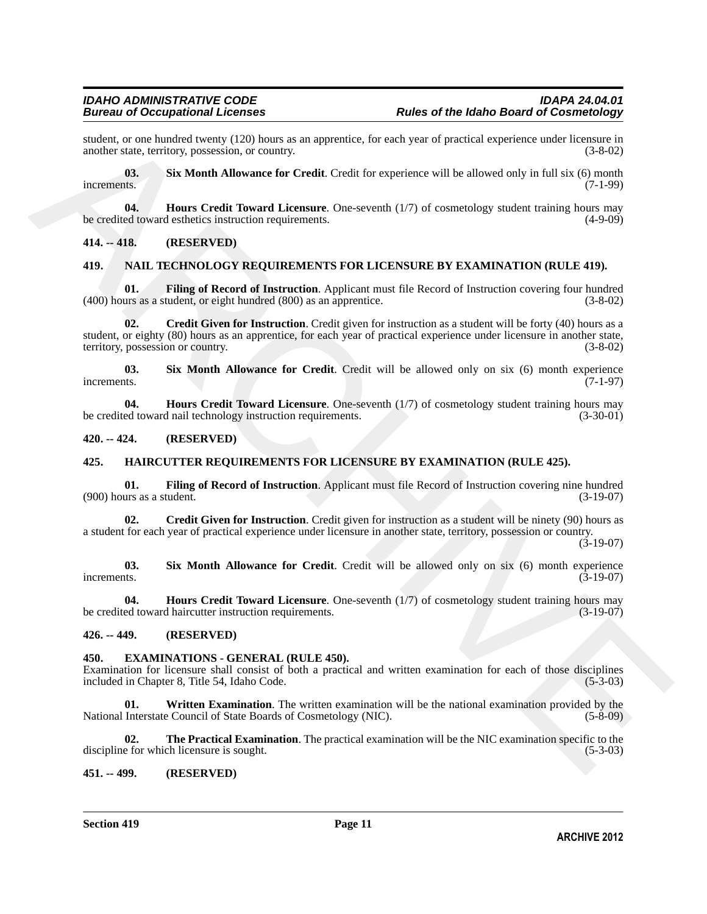student, or one hundred twenty (120) hours as an apprentice, for each year of practical experience under licensure in another state, territory, possession, or country. (3-8-02) another state, territory, possession, or country.

<span id="page-10-8"></span>**03. Six Month Allowance for Credit**. Credit for experience will be allowed only in full six (6) month increments. (7-1-99)

<span id="page-10-7"></span>**04. Hours Credit Toward Licensure**. One-seventh (1/7) of cosmetology student training hours may be credited toward esthetics instruction requirements. (4-9-09)

### <span id="page-10-0"></span>**414. -- 418. (RESERVED)**

### <span id="page-10-17"></span><span id="page-10-1"></span>**419. NAIL TECHNOLOGY REQUIREMENTS FOR LICENSURE BY EXAMINATION (RULE 419).**

<span id="page-10-19"></span><span id="page-10-18"></span>**Filing of Record of Instruction.** Applicant must file Record of Instruction covering four hundred (400) hours as a student, or eight hundred (800) as an apprentice. (3-8-02)

smalent or one handred reserve (120) hearts can appear in a presention, for each year of practical septents analog (130, 03)<br>
incomenses.<br> **ARCHIVES** and Constitution and Constitution Constitution (130) of cosmology shole **02. Credit Given for Instruction**. Credit given for instruction as a student will be forty (40) hours as a student, or eighty (80) hours as an apprentice, for each year of practical experience under licensure in another state, territory, possession or country. (3-8-02)

<span id="page-10-21"></span>**03.** Six Month Allowance for Credit. Credit will be allowed only on six (6) month experience increments. (7-1-97) increments. (7-1-97)

<span id="page-10-20"></span>**04. Hours Credit Toward Licensure**. One-seventh (1/7) of cosmetology student training hours may be credited toward nail technology instruction requirements. (3-30-01)

### <span id="page-10-2"></span>**420. -- 424. (RESERVED)**

### <span id="page-10-12"></span><span id="page-10-3"></span>**425. HAIRCUTTER REQUIREMENTS FOR LICENSURE BY EXAMINATION (RULE 425).**

<span id="page-10-14"></span>**01. Filing of Record of Instruction**. Applicant must file Record of Instruction covering nine hundred  $(900)$  hours as a student.

<span id="page-10-13"></span>**02.** Credit Given for Instruction. Credit given for instruction as a student will be ninety (90) hours as a student for each year of practical experience under licensure in another state, territory, possession or country.

(3-19-07)

<span id="page-10-16"></span>**03. Six Month Allowance for Credit**. Credit will be allowed only on six (6) month experience increments. (3-19-07)

<span id="page-10-15"></span>**04. Hours Credit Toward Licensure**. One-seventh (1/7) of cosmetology student training hours may be credited toward haircutter instruction requirements. (3-19-07)

### <span id="page-10-4"></span>**426. -- 449. (RESERVED)**

### <span id="page-10-9"></span><span id="page-10-5"></span>**450. EXAMINATIONS - GENERAL (RULE 450).**

Examination for licensure shall consist of both a practical and written examination for each of those disciplines included in Chapter 8, Title 54, Idaho Code. (5-3-03)

<span id="page-10-11"></span>**Written Examination**. The written examination will be the national examination provided by the Council of State Boards of Cosmetology (NIC). (5-8-09) National Interstate Council of State Boards of Cosmetology (NIC).

<span id="page-10-10"></span>**02. The Practical Examination**. The practical examination will be the NIC examination specific to the e for which licensure is sought. (5-3-03) discipline for which licensure is sought.

### <span id="page-10-6"></span>**451. -- 499. (RESERVED)**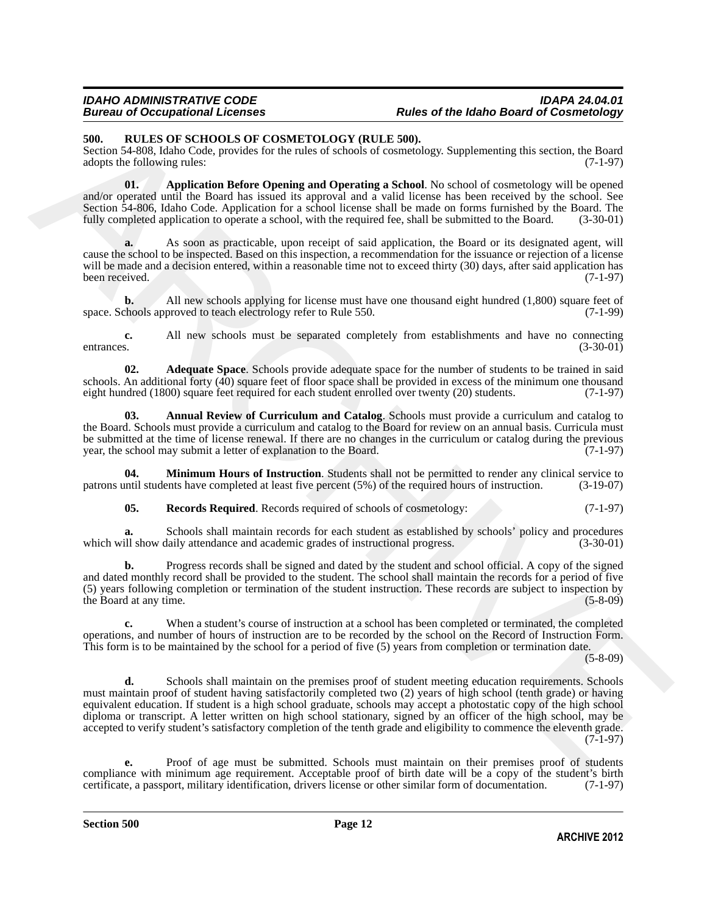### *IDAHO ADMINISTRATIVE CODE IDAPA 24.04.01* **Rules of the Idaho Board of Cosmetology**

### <span id="page-11-1"></span><span id="page-11-0"></span>**500. RULES OF SCHOOLS OF COSMETOLOGY (RULE 500).**

Section 54-808, Idaho Code, provides for the rules of schools of cosmetology. Supplementing this section, the Board adopts the following rules: (7-1-97)

<span id="page-11-4"></span>**01. Application Before Opening and Operating a School**. No school of cosmetology will be opened and/or operated until the Board has issued its approval and a valid license has been received by the school. See Section 54-806, Idaho Code. Application for a school license shall be made on forms furnished by the Board. The fully completed application to operate a school, with the required fee, shall be submitted to the Board. (3-30-01)

**a.** As soon as practicable, upon receipt of said application, the Board or its designated agent, will cause the school to be inspected. Based on this inspection, a recommendation for the issuance or rejection of a license will be made and a decision entered, within a reasonable time not to exceed thirty (30) days, after said application has been received.  $(7-1-97)$ been received. (7-1-97)

**b.** All new schools applying for license must have one thousand eight hundred (1,800) square feet of chools approved to teach electrology refer to Rule 550. (7-1-99) space. Schools approved to teach electrology refer to Rule 550.

**c.** All new schools must be separated completely from establishments and have no connecting entrances. (3-30-01)

<span id="page-11-2"></span>**02. Adequate Space**. Schools provide adequate space for the number of students to be trained in said schools. An additional forty (40) square feet of floor space shall be provided in excess of the minimum one thousand eight hundred (1800) square feet required for each student enrolled over twenty (20) students. (7-1-97) eight hundred (1800) square feet required for each student enrolled over twenty (20) students.

<span id="page-11-3"></span>**03. Annual Review of Curriculum and Catalog**. Schools must provide a curriculum and catalog to the Board. Schools must provide a curriculum and catalog to the Board for review on an annual basis. Curricula must be submitted at the time of license renewal. If there are no changes in the curriculum or catalog during the previous year, the school may submit a letter of explanation to the Board. (7-1-97)

**04. Minimum Hours of Instruction**. Students shall not be permitted to render any clinical service to patrons until students have completed at least five percent (5%) of the required hours of instruction. (3-19-07)

<span id="page-11-6"></span><span id="page-11-5"></span>**05. Records Required**. Records required of schools of cosmetology: (7-1-97)

**a.** Schools shall maintain records for each student as established by schools' policy and procedures ill show daily attendance and academic grades of instructional progress. (3-30-01) which will show daily attendance and academic grades of instructional progress.

**b.** Progress records shall be signed and dated by the student and school official. A copy of the signed and dated monthly record shall be provided to the student. The school shall maintain the records for a period of five (5) years following completion or termination of the student instruction. These records are subject to inspection by the Board at any time. the Board at any time.

**c.** When a student's course of instruction at a school has been completed or terminated, the completed operations, and number of hours of instruction are to be recorded by the school on the Record of Instruction Form. This form is to be maintained by the school for a period of five (5) years from completion or termination date.

(5-8-09)

SM. **RITHER OF KOTOOT SOTE CONTROL**Y OCYTANTIES AND, the specific state and the specific state in the specific state of the specific state in the specific state in the specific state of the specific state in the specific **d.** Schools shall maintain on the premises proof of student meeting education requirements. Schools must maintain proof of student having satisfactorily completed two (2) years of high school (tenth grade) or having equivalent education. If student is a high school graduate, schools may accept a photostatic copy of the high school diploma or transcript. A letter written on high school stationary, signed by an officer of the high school, may be accepted to verify student's satisfactory completion of the tenth grade and eligibility to commence the eleventh grade. (7-1-97)

**e.** Proof of age must be submitted. Schools must maintain on their premises proof of students compliance with minimum age requirement. Acceptable proof of birth date will be a copy of the student's birth certificate, a passport, military identification, drivers license or other similar form of documentation. (7-1-9 certificate, a passport, military identification, drivers license or other similar form of documentation.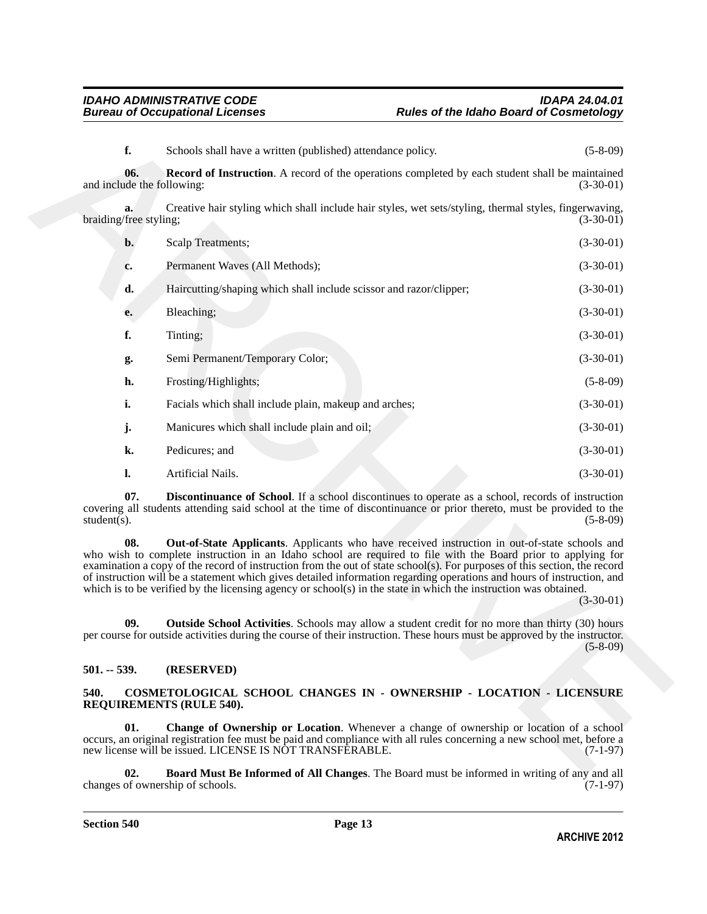<span id="page-12-8"></span>

| f.                                | Schools shall have a written (published) attendance policy.                                                                                                                                                                                                                                                                                                                                                                                                                                                                                                                               | $(5-8-09)$     |
|-----------------------------------|-------------------------------------------------------------------------------------------------------------------------------------------------------------------------------------------------------------------------------------------------------------------------------------------------------------------------------------------------------------------------------------------------------------------------------------------------------------------------------------------------------------------------------------------------------------------------------------------|----------------|
| 06.<br>and include the following: | <b>Record of Instruction.</b> A record of the operations completed by each student shall be maintained                                                                                                                                                                                                                                                                                                                                                                                                                                                                                    | $(3-30-01)$    |
| a.<br>braiding/free styling;      | Creative hair styling which shall include hair styles, wet sets/styling, thermal styles, fingerwaving,                                                                                                                                                                                                                                                                                                                                                                                                                                                                                    | $(3-30-01)$    |
| $\mathbf{b}$ .                    | <b>Scalp Treatments;</b>                                                                                                                                                                                                                                                                                                                                                                                                                                                                                                                                                                  | $(3-30-01)$    |
| c.                                | Permanent Waves (All Methods);                                                                                                                                                                                                                                                                                                                                                                                                                                                                                                                                                            | $(3-30-01)$    |
| d.                                | Haircutting/shaping which shall include scissor and razor/clipper;                                                                                                                                                                                                                                                                                                                                                                                                                                                                                                                        | $(3-30-01)$    |
| e.                                | Bleaching;                                                                                                                                                                                                                                                                                                                                                                                                                                                                                                                                                                                | $(3-30-01)$    |
| f.                                | Tinting;                                                                                                                                                                                                                                                                                                                                                                                                                                                                                                                                                                                  | $(3-30-01)$    |
| g.                                | Semi Permanent/Temporary Color;                                                                                                                                                                                                                                                                                                                                                                                                                                                                                                                                                           | $(3-30-01)$    |
| h.                                | Frosting/Highlights;                                                                                                                                                                                                                                                                                                                                                                                                                                                                                                                                                                      | $(5-8-09)$     |
| i.                                | Facials which shall include plain, makeup and arches;                                                                                                                                                                                                                                                                                                                                                                                                                                                                                                                                     | $(3-30-01)$    |
| j.                                | Manicures which shall include plain and oil;                                                                                                                                                                                                                                                                                                                                                                                                                                                                                                                                              | $(3-30-01)$    |
| k.                                | Pedicures; and                                                                                                                                                                                                                                                                                                                                                                                                                                                                                                                                                                            | $(3-30-01)$    |
| l.                                | Artificial Nails.                                                                                                                                                                                                                                                                                                                                                                                                                                                                                                                                                                         | $(3-30-01)$    |
| 07.<br>student $(s)$ .            | <b>Discontinuance of School</b> . If a school discontinues to operate as a school, records of instruction<br>covering all students attending said school at the time of discontinuance or prior thereto, must be provided to the                                                                                                                                                                                                                                                                                                                                                          | $(5 - 8 - 09)$ |
| 08.                               | Out-of-State Applicants. Applicants who have received instruction in out-of-state schools and<br>who wish to complete instruction in an Idaho school are required to file with the Board prior to applying for<br>examination a copy of the record of instruction from the out of state school(s). For purposes of this section, the record<br>of instruction will be a statement which gives detailed information regarding operations and hours of instruction, and<br>which is to be verified by the licensing agency or school(s) in the state in which the instruction was obtained. | $(3-30-01)$    |
| 09.                               | <b>Outside School Activities.</b> Schools may allow a student credit for no more than thirty (30) hours<br>per course for outside activities during the course of their instruction. These hours must be approved by the instructor.                                                                                                                                                                                                                                                                                                                                                      | $(5 - 8 - 09)$ |
| $501. - 539.$                     | (RESERVED)                                                                                                                                                                                                                                                                                                                                                                                                                                                                                                                                                                                |                |
| 540.                              | COSMETOLOGICAL SCHOOL CHANGES IN - OWNERSHIP - LOCATION - LICENSURE<br><b>REQUIREMENTS (RULE 540).</b>                                                                                                                                                                                                                                                                                                                                                                                                                                                                                    |                |
| 01.                               | <b>Change of Ownership or Location.</b> Whenever a change of ownership or location of a school<br>occurs, an original registration fee must be paid and compliance with all rules concerning a new school met, before a<br>new license will be issued. LICENSE IS NOT TRANSFERABLE.                                                                                                                                                                                                                                                                                                       | $(7-1-97)$     |
| $\mathbf{02}$ .                   | <b>Board Must Be Informed of All Changes</b> The Board must be informed in writing of any and all                                                                                                                                                                                                                                                                                                                                                                                                                                                                                         |                |

### <span id="page-12-7"></span><span id="page-12-6"></span><span id="page-12-5"></span><span id="page-12-0"></span>**501. -- 539. (RESERVED)**

### <span id="page-12-4"></span><span id="page-12-2"></span><span id="page-12-1"></span>**540. COSMETOLOGICAL SCHOOL CHANGES IN - OWNERSHIP - LOCATION - LICENSURE REQUIREMENTS (RULE 540).**

<span id="page-12-3"></span>**Board Must Be Informed of All Changes**. The Board must be informed in writing of any and all ship of schools. (7-1-97) changes of ownership of schools.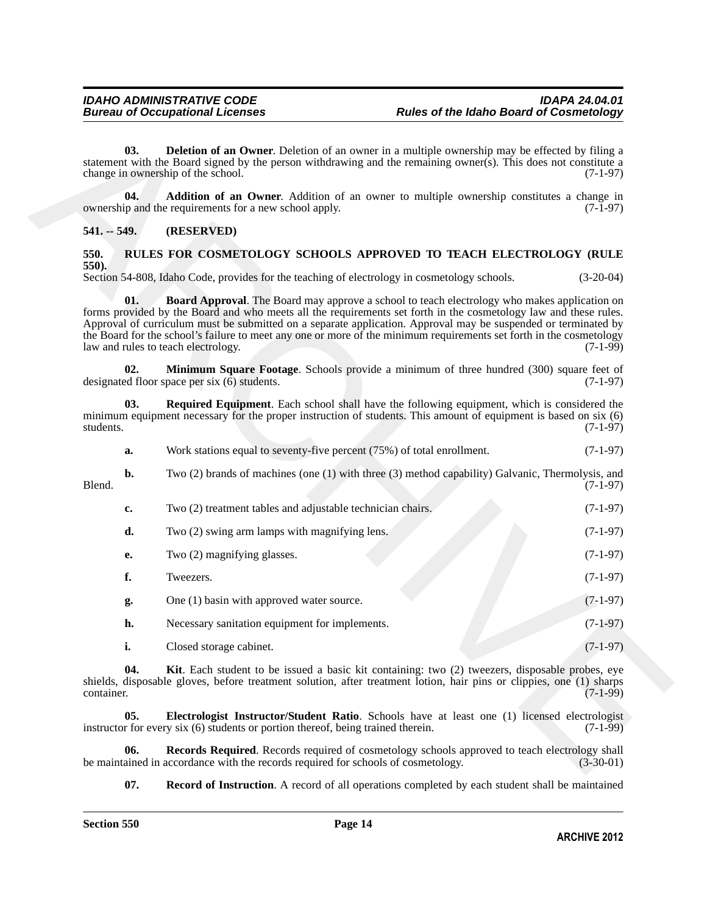<span id="page-13-3"></span>**03. Deletion of an Owner**. Deletion of an owner in a multiple ownership may be effected by filing a statement with the Board signed by the person withdrawing and the remaining owner(s). This does not constitute a change in ownership of the school. (7-1-97)

<span id="page-13-2"></span>**04. Addition of an Owner**. Addition of an owner to multiple ownership constitutes a change in in and the requirements for a new school apply. (7-1-97) ownership and the requirements for a new school apply.

### <span id="page-13-0"></span>**541. -- 549. (RESERVED)**

### <span id="page-13-4"></span><span id="page-13-1"></span>**550. RULES FOR COSMETOLOGY SCHOOLS APPROVED TO TEACH ELECTROLOGY (RULE 550).**

Section 54-808, Idaho Code, provides for the teaching of electrology in cosmetology schools. (3-20-04)

<span id="page-13-5"></span>**01. Board Approval**. The Board may approve a school to teach electrology who makes application on forms provided by the Board and who meets all the requirements set forth in the cosmetology law and these rules. Approval of curriculum must be submitted on a separate application. Approval may be suspended or terminated by the Board for the school's failure to meet any one or more of the minimum requirements set forth in the cosmetology law and rules to teach electrology. (7-1-99)

<span id="page-13-8"></span>**02. Minimum Square Footage**. Schools provide a minimum of three hundred (300) square feet of ed floor space per six (6) students. designated floor space per six  $(6)$  students.

**03. Required Equipment**. Each school shall have the following equipment, which is considered the minimum equipment necessary for the proper instruction of students. This amount of equipment is based on six  $(6)$  students.  $(7-1-97)$ students. (7-1-97)

<span id="page-13-11"></span>

|                      |  | Work stations equal to seventy-five percent (75%) of total enrollment. |                                                         | $(7-1-97)$ |
|----------------------|--|------------------------------------------------------------------------|---------------------------------------------------------|------------|
| $\sim$ $\sim$ $\sim$ |  |                                                                        | $\sim$ $\sim$ $\sim$ $\sim$ $\sim$ $\sim$ $\sim$ $\sim$ |            |

**b.** Two (2) brands of machines (one (1) with three (3) method capability) Galvanic, Thermolysis, and Blend. (7-1-97)

- onion on the Brain and an Owner. Detection of an owner in a multiple momentum any be effected by fitting a<br>subsection with fix function of the propose with<br>dimage in outcomple of the Society by person with<br>dimage and th **c.** Two (2) treatment tables and adjustable technician chairs. (7-1-97) **d.** Two (2) swing arm lamps with magnifying lens. (7-1-97) **e.** Two (2) magnifying glasses. (7-1-97) **f.** Tweezers. (7-1-97) **g.** One (1) basin with approved water source. (7-1-97) **h.** Necessary sanitation equipment for implements. (7-1-97)
	- **i.** Closed storage cabinet. (7-1-97)

<span id="page-13-7"></span>**04. Kit**. Each student to be issued a basic kit containing: two (2) tweezers, disposable probes, eye shields, disposable gloves, before treatment solution, after treatment lotion, hair pins or clippies, one (1) sharps container. (7-1-99) container. (7-1-99)

<span id="page-13-6"></span>**05. Electrologist Instructor/Student Ratio**. Schools have at least one (1) licensed electrologist instructor for every six (6) students or portion thereof, being trained therein. (7-1-99)

**06.** Records Required. Records required of cosmetology schools approved to teach electrology shall ained in accordance with the records required for schools of cosmetology. (3-30-01) be maintained in accordance with the records required for schools of cosmetology.

<span id="page-13-10"></span><span id="page-13-9"></span>**07. Record of Instruction**. A record of all operations completed by each student shall be maintained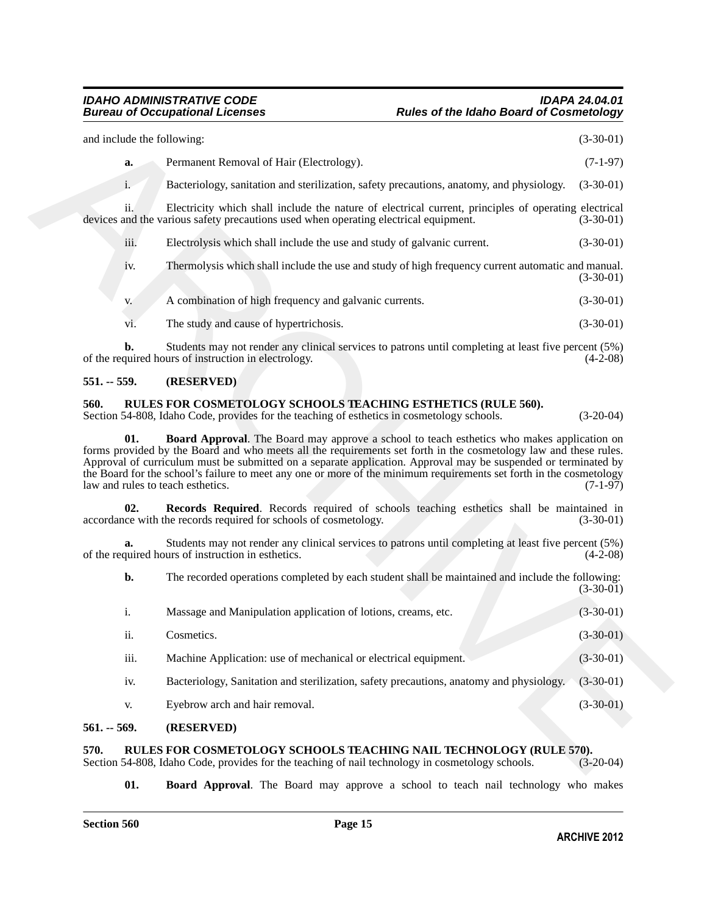| and include the following: |      |                                                                                                                                                                                                                                                                                                                                                                                                                                                                                                     |                                                                                                                                   |
|----------------------------|------|-----------------------------------------------------------------------------------------------------------------------------------------------------------------------------------------------------------------------------------------------------------------------------------------------------------------------------------------------------------------------------------------------------------------------------------------------------------------------------------------------------|-----------------------------------------------------------------------------------------------------------------------------------|
|                            | a.   | Permanent Removal of Hair (Electrology).                                                                                                                                                                                                                                                                                                                                                                                                                                                            | $(7-1-97)$                                                                                                                        |
|                            | i.   | Bacteriology, sanitation and sterilization, safety precautions, anatomy, and physiology.                                                                                                                                                                                                                                                                                                                                                                                                            | $(3-30-01)$                                                                                                                       |
|                            | ii.  | Electricity which shall include the nature of electrical current, principles of operating electrical<br>devices and the various safety precautions used when operating electrical equipment.                                                                                                                                                                                                                                                                                                        | $(3-30-01)$                                                                                                                       |
|                            | iii. | Electrolysis which shall include the use and study of galvanic current.                                                                                                                                                                                                                                                                                                                                                                                                                             | $(3-30-01)$                                                                                                                       |
|                            | iv.  | Thermolysis which shall include the use and study of high frequency current automatic and manual.                                                                                                                                                                                                                                                                                                                                                                                                   | $(3-30-01)$                                                                                                                       |
|                            | V.   | A combination of high frequency and galvanic currents.                                                                                                                                                                                                                                                                                                                                                                                                                                              | $(3-30-01)$                                                                                                                       |
|                            | vi.  | The study and cause of hypertrichosis.                                                                                                                                                                                                                                                                                                                                                                                                                                                              | $(3-30-01)$                                                                                                                       |
|                            | h.   | Students may not render any clinical services to patrons until completing at least five percent (5%)<br>of the required hours of instruction in electrology.                                                                                                                                                                                                                                                                                                                                        | $(4-2-08)$                                                                                                                        |
| $551. - 559.$              |      | (RESERVED)                                                                                                                                                                                                                                                                                                                                                                                                                                                                                          |                                                                                                                                   |
| 560.                       |      | RULES FOR COSMETOLOGY SCHOOLS TEACHING ESTHETICS (RULE 560).                                                                                                                                                                                                                                                                                                                                                                                                                                        |                                                                                                                                   |
|                            |      | Section 54-808, Idaho Code, provides for the teaching of esthetics in cosmetology schools.                                                                                                                                                                                                                                                                                                                                                                                                          | $(3-20-04)$                                                                                                                       |
|                            | 01.  | <b>Board Approval.</b> The Board may approve a school to teach esthetics who makes application on<br>forms provided by the Board and who meets all the requirements set forth in the cosmetology law and these rules.<br>Approval of curriculum must be submitted on a separate application. Approval may be suspended or terminated by<br>the Board for the school's failure to meet any one or more of the minimum requirements set forth in the cosmetology<br>law and rules to teach esthetics. |                                                                                                                                   |
|                            | 02.  | Records Required. Records required of schools teaching esthetics shall be maintained in<br>accordance with the records required for schools of cosmetology.                                                                                                                                                                                                                                                                                                                                         |                                                                                                                                   |
|                            | a.   | Students may not render any clinical services to patrons until completing at least five percent (5%)<br>of the required hours of instruction in esthetics.                                                                                                                                                                                                                                                                                                                                          |                                                                                                                                   |
|                            | b.   | The recorded operations completed by each student shall be maintained and include the following:                                                                                                                                                                                                                                                                                                                                                                                                    |                                                                                                                                   |
|                            | i.   | Massage and Manipulation application of lotions, creams, etc.                                                                                                                                                                                                                                                                                                                                                                                                                                       |                                                                                                                                   |
|                            | ii.  | Cosmetics.                                                                                                                                                                                                                                                                                                                                                                                                                                                                                          |                                                                                                                                   |
|                            | iii. | Machine Application: use of mechanical or electrical equipment.                                                                                                                                                                                                                                                                                                                                                                                                                                     |                                                                                                                                   |
|                            | iv.  | Bacteriology, Sanitation and sterilization, safety precautions, anatomy and physiology.                                                                                                                                                                                                                                                                                                                                                                                                             |                                                                                                                                   |
|                            | V.   | Eyebrow arch and hair removal.                                                                                                                                                                                                                                                                                                                                                                                                                                                                      | $(7-1-97)$<br>$(3-30-01)$<br>$(4-2-08)$<br>$(3-30-01)$<br>$(3-30-01)$<br>$(3-30-01)$<br>$(3-30-01)$<br>$(3-30-01)$<br>$(3-30-01)$ |

### <span id="page-14-5"></span><span id="page-14-4"></span><span id="page-14-1"></span><span id="page-14-0"></span>**560. RULES FOR COSMETOLOGY SCHOOLS TEACHING ESTHETICS (RULE 560).**

<span id="page-14-6"></span>

| 1.   | Massage and Manipulation application of lotions, creams, etc.                           | $(3-30-01)$ |
|------|-----------------------------------------------------------------------------------------|-------------|
| ii.  | Cosmetics.                                                                              | $(3-30-01)$ |
| iii. | Machine Application: use of mechanical or electrical equipment.                         | $(3-30-01)$ |
| iv.  | Bacteriology, Sanitation and sterilization, safety precautions, anatomy and physiology. | $(3-30-01)$ |
| V.   | Eyebrow arch and hair removal.                                                          | $(3-30-01)$ |

### <span id="page-14-2"></span>**561. -- 569. (RESERVED)**

## <span id="page-14-7"></span><span id="page-14-3"></span>**570.** RULES FOR COSMETOLOGY SCHOOLS TEACHING NAIL TECHNOLOGY (RULE 570). Section 54-808, Idaho Code, provides for the teaching of nail technology in cosmetology schools. (3-20-04)

<span id="page-14-8"></span>**01. Board Approval**. The Board may approve a school to teach nail technology who makes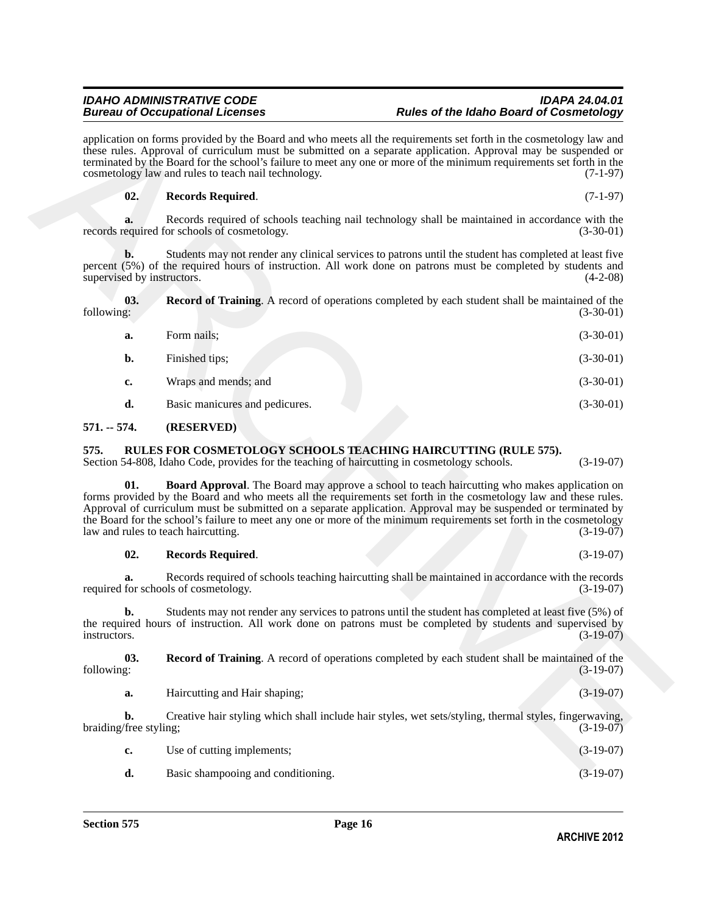application on forms provided by the Board and who meets all the requirements set forth in the cosmetology law and these rules. Approval of curriculum must be submitted on a separate application. Approval may be suspended or terminated by the Board for the school's failure to meet any one or more of the minimum requirements set forth in the

### <span id="page-15-7"></span>**02. Records Required**. (7-1-97)

<span id="page-15-6"></span>

|            |  | <b>Record of Training.</b> A record of operations completed by each student shall be maintained of the |
|------------|--|--------------------------------------------------------------------------------------------------------|
| following: |  | $(3-30-01)$                                                                                            |

|                                          | application on forms provided by the Board and who meets all the requirements set forth in the cosmetology law and<br>these rules. Approval of curriculum must be submitted on a separate application. Approval may be suspended or<br>terminated by the Board for the school's failure to meet any one or more of the minimum requirements set forth in the<br>cosmetology law and rules to teach nail technology.                                                                                      | $(7-1-97)$  |
|------------------------------------------|----------------------------------------------------------------------------------------------------------------------------------------------------------------------------------------------------------------------------------------------------------------------------------------------------------------------------------------------------------------------------------------------------------------------------------------------------------------------------------------------------------|-------------|
| 02.                                      | <b>Records Required.</b>                                                                                                                                                                                                                                                                                                                                                                                                                                                                                 | $(7-1-97)$  |
| a.                                       | Records required of schools teaching nail technology shall be maintained in accordance with the<br>records required for schools of cosmetology.                                                                                                                                                                                                                                                                                                                                                          | $(3-30-01)$ |
| $\mathbf{b}$ .                           | Students may not render any clinical services to patrons until the student has completed at least five<br>percent (5%) of the required hours of instruction. All work done on patrons must be completed by students and<br>supervised by instructors.<br>$(4-2-08)$                                                                                                                                                                                                                                      |             |
| 03.<br>following:                        | <b>Record of Training.</b> A record of operations completed by each student shall be maintained of the                                                                                                                                                                                                                                                                                                                                                                                                   | $(3-30-01)$ |
| a.                                       | Form nails;                                                                                                                                                                                                                                                                                                                                                                                                                                                                                              | $(3-30-01)$ |
| $b$ .                                    | Finished tips;                                                                                                                                                                                                                                                                                                                                                                                                                                                                                           | $(3-30-01)$ |
| c.                                       | Wraps and mends; and                                                                                                                                                                                                                                                                                                                                                                                                                                                                                     | $(3-30-01)$ |
| d.                                       | Basic manicures and pedicures.                                                                                                                                                                                                                                                                                                                                                                                                                                                                           | $(3-30-01)$ |
| $571. - 574.$                            | (RESERVED)                                                                                                                                                                                                                                                                                                                                                                                                                                                                                               |             |
| 575.                                     | RULES FOR COSMETOLOGY SCHOOLS TEACHING HAIRCUTTING (RULE 575).<br>Section 54-808, Idaho Code, provides for the teaching of haircutting in cosmetology schools.                                                                                                                                                                                                                                                                                                                                           | $(3-19-07)$ |
| 01.                                      | <b>Board Approval</b> . The Board may approve a school to teach haircutting who makes application on<br>forms provided by the Board and who meets all the requirements set forth in the cosmetology law and these rules.<br>Approval of curriculum must be submitted on a separate application. Approval may be suspended or terminated by<br>the Board for the school's failure to meet any one or more of the minimum requirements set forth in the cosmetology<br>law and rules to teach haircutting. | $(3-19-07)$ |
| 02.                                      | <b>Records Required.</b>                                                                                                                                                                                                                                                                                                                                                                                                                                                                                 | $(3-19-07)$ |
| a.                                       | Records required of schools teaching haircutting shall be maintained in accordance with the records<br>required for schools of cosmetology.                                                                                                                                                                                                                                                                                                                                                              | $(3-19-07)$ |
| b.<br>instructors.                       | Students may not render any services to patrons until the student has completed at least five (5%) of<br>the required hours of instruction. All work done on patrons must be completed by students and supervised by                                                                                                                                                                                                                                                                                     | $(3-19-07)$ |
| 03.<br>following:                        | <b>Record of Training</b> . A record of operations completed by each student shall be maintained of the                                                                                                                                                                                                                                                                                                                                                                                                  | $(3-19-07)$ |
| a.                                       | Haircutting and Hair shaping;                                                                                                                                                                                                                                                                                                                                                                                                                                                                            | $(3-19-07)$ |
| $\mathbf{b}$ .<br>braiding/free styling; | Creative hair styling which shall include hair styles, wet sets/styling, thermal styles, fingerwaving,                                                                                                                                                                                                                                                                                                                                                                                                   | $(3-19-07)$ |
| c.                                       | Use of cutting implements;                                                                                                                                                                                                                                                                                                                                                                                                                                                                               | $(3-19-07)$ |
| d.                                       | Basic shampooing and conditioning                                                                                                                                                                                                                                                                                                                                                                                                                                                                        | $(3-19-07)$ |

### <span id="page-15-0"></span>**571. -- 574. (RESERVED)**

### <span id="page-15-3"></span><span id="page-15-2"></span><span id="page-15-1"></span>**575. RULES FOR COSMETOLOGY SCHOOLS TEACHING HAIRCUTTING (RULE 575).**

### <span id="page-15-5"></span><span id="page-15-4"></span>**02. Records Required**. (3-19-07)

| c. | Use of cutting implements;         | $(3-19-07)$ |
|----|------------------------------------|-------------|
|    | Basic shampooing and conditioning. | $(3-19-07)$ |

### *IDAHO ADMINISTRATIVE CODE IDAPA 24.04.01* **Rules of the Idaho Board of Cosmetology**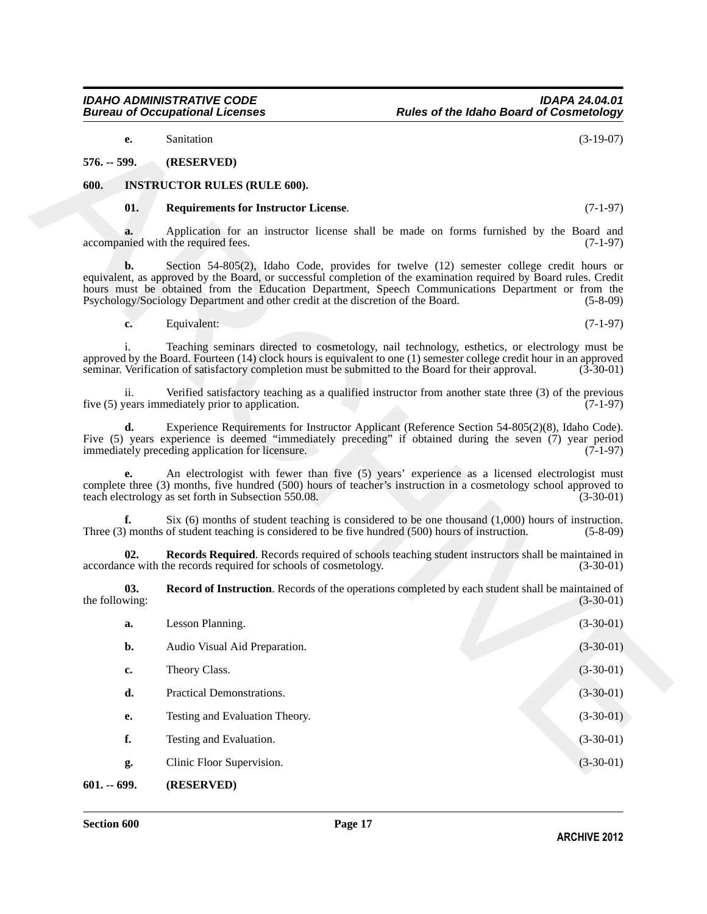<span id="page-16-2"></span>**ARCHIVE 2012**

### <span id="page-16-1"></span><span id="page-16-0"></span>**600. INSTRUCTOR RULES (RULE 600).**

### <span id="page-16-6"></span><span id="page-16-5"></span><span id="page-16-4"></span><span id="page-16-3"></span>**01. Requirements for Instructor License**. (7-1-97)

| e.                    | Sanitation                                                                                                                                                                                                                                                                                                                                                                                              | $(3-19-07)$ |
|-----------------------|---------------------------------------------------------------------------------------------------------------------------------------------------------------------------------------------------------------------------------------------------------------------------------------------------------------------------------------------------------------------------------------------------------|-------------|
| $576. - 599.$         | (RESERVED)                                                                                                                                                                                                                                                                                                                                                                                              |             |
| 600.                  | <b>INSTRUCTOR RULES (RULE 600).</b>                                                                                                                                                                                                                                                                                                                                                                     |             |
| 01.                   | <b>Requirements for Instructor License.</b>                                                                                                                                                                                                                                                                                                                                                             | $(7-1-97)$  |
| a.                    | Application for an instructor license shall be made on forms furnished by the Board and<br>accompanied with the required fees.                                                                                                                                                                                                                                                                          | $(7-1-97)$  |
| b.                    | Section 54-805(2), Idaho Code, provides for twelve (12) semester college credit hours or<br>equivalent, as approved by the Board, or successful completion of the examination required by Board rules. Credit<br>hours must be obtained from the Education Department, Speech Communications Department or from the<br>Psychology/Sociology Department and other credit at the discretion of the Board. | $(5-8-09)$  |
| c.                    | Equivalent:                                                                                                                                                                                                                                                                                                                                                                                             | $(7-1-97)$  |
|                       | Teaching seminars directed to cosmetology, nail technology, esthetics, or electrology must be<br>approved by the Board. Fourteen (14) clock hours is equivalent to one (1) semester college credit hour in an approved<br>seminar. Verification of satisfactory completion must be submitted to the Board for their approval.                                                                           | $(3-30-01)$ |
| ii.                   | Verified satisfactory teaching as a qualified instructor from another state three (3) of the previous<br>five (5) years immediately prior to application.                                                                                                                                                                                                                                               | $(7-1-97)$  |
| d.                    | Experience Requirements for Instructor Applicant (Reference Section 54-805(2)(8), Idaho Code).<br>Five (5) years experience is deemed "immediately preceding" if obtained during the seven (7) year period<br>immediately preceding application for licensure.                                                                                                                                          | $(7-1-97)$  |
| е.                    | An electrologist with fewer than five (5) years' experience as a licensed electrologist must<br>complete three (3) months, five hundred (500) hours of teacher's instruction in a cosmetology school approved to<br>teach electrology as set forth in Subsection 550.08.                                                                                                                                | $(3-30-01)$ |
| f.                    | Six $(6)$ months of student teaching is considered to be one thousand $(1,000)$ hours of instruction.<br>Three (3) months of student teaching is considered to be five hundred (500) hours of instruction.                                                                                                                                                                                              | $(5-8-09)$  |
| 02.                   | Records Required. Records required of schools teaching student instructors shall be maintained in<br>accordance with the records required for schools of cosmetology.                                                                                                                                                                                                                                   | $(3-30-01)$ |
| 03.<br>the following: | <b>Record of Instruction</b> . Records of the operations completed by each student shall be maintained of                                                                                                                                                                                                                                                                                               | $(3-30-01)$ |
| a.                    | Lesson Planning.                                                                                                                                                                                                                                                                                                                                                                                        | $(3-30-01)$ |
| b.                    | Audio Visual Aid Preparation.                                                                                                                                                                                                                                                                                                                                                                           | $(3-30-01)$ |
| c.                    | Theory Class.                                                                                                                                                                                                                                                                                                                                                                                           | $(3-30-01)$ |
| d.                    | Practical Demonstrations.                                                                                                                                                                                                                                                                                                                                                                               | $(3-30-01)$ |
| e.                    | Testing and Evaluation Theory.                                                                                                                                                                                                                                                                                                                                                                          | $(3-30-01)$ |
| f.                    | Testing and Evaluation.                                                                                                                                                                                                                                                                                                                                                                                 | $(3-30-01)$ |
| g.                    | Clinic Floor Supervision.                                                                                                                                                                                                                                                                                                                                                                               | $(3-30-01)$ |
| $601 - 699.$          | (RESERVED)                                                                                                                                                                                                                                                                                                                                                                                              |             |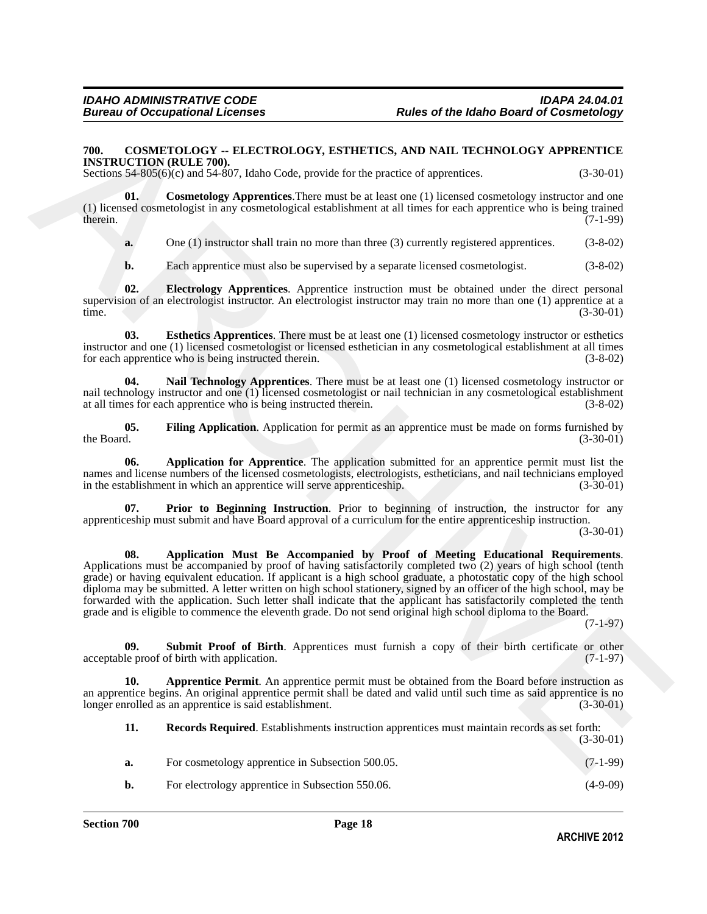### <span id="page-17-1"></span><span id="page-17-0"></span>**700. COSMETOLOGY -- ELECTROLOGY, ESTHETICS, AND NAIL TECHNOLOGY APPRENTICE INSTRUCTION (RULE 700).**

Sections 54-805(6)(c) and 54-807, Idaho Code, provide for the practice of apprentices. (3-30-01)

**01.** Cosmetology Apprentices. There must be at least one (1) licensed cosmetology instructor and one (1) licensed cosmetologist in any cosmetological establishment at all times for each apprentice who is being trained therein.  $(7-1-99)$ therein.  $(7-1-99)$ 

<span id="page-17-5"></span>**a.** One (1) instructor shall train no more than three (3) currently registered apprentices. (3-8-02)

<span id="page-17-7"></span><span id="page-17-6"></span>**b.** Each apprentice must also be supervised by a separate licensed cosmetologist. (3-8-02)

**02. Electrology Apprentices**. Apprentice instruction must be obtained under the direct personal supervision of an electrologist instructor. An electrologist instructor may train no more than one (1) apprentice at a time. (3-30-01)

**03. Esthetics Apprentices**. There must be at least one (1) licensed cosmetology instructor or esthetics instructor and one (1) licensed cosmetologist or licensed esthetician in any cosmetological establishment at all times for each apprentice who is being instructed therein. (3-8-02)

<span id="page-17-9"></span>**04. Nail Technology Apprentices**. There must be at least one (1) licensed cosmetology instructor or nail technology instructor and one (1) licensed cosmetologist or nail technician in any cosmetological establishment at all times for each apprentice who is being instructed therein. (3-8-02)

<span id="page-17-8"></span>**05.** Filing Application. Application for permit as an apprentice must be made on forms furnished by the Board. (3-30-01) the Board.  $(3-30-01)$ 

<span id="page-17-2"></span>**06. Application for Apprentice**. The application submitted for an apprentice permit must list the names and license numbers of the licensed cosmetologists, electrologists, estheticians, and nail technicians employed<br>in the establishment in which an apprentice will serve apprenticeship. (3-30-01) in the establishment in which an apprentice will serve apprenticeship.

<span id="page-17-10"></span><span id="page-17-3"></span>**Prior to Beginning Instruction**. Prior to beginning of instruction, the instructor for any apprenticeship must submit and have Board approval of a curriculum for the entire apprenticeship instruction. (3-30-01)

790. CONSIFYORACY - BLECTROLOGY, SETIIFTICS, AND NAIL-TECHNOROGY APPRENTICE<br>
NEW CRITERY THIS CONSIFIE AND INTERFERICATION CONSIERNATION (SAMER EXCEPT)<br>
SERIES THE CONSIERNATION (SAMER CONSIERNATION CONSIERNATION CONSIERN **08. Application Must Be Accompanied by Proof of Meeting Educational Requirements**. Applications must be accompanied by proof of having satisfactorily completed two (2) years of high school (tenth grade) or having equivalent education. If applicant is a high school graduate, a photostatic copy of the high school diploma may be submitted. A letter written on high school stationery, signed by an officer of the high school, may be forwarded with the application. Such letter shall indicate that the applicant has satisfactorily completed the tenth grade and is eligible to commence the eleventh grade. Do not send original high school diploma to the Board.

(7-1-97)

<span id="page-17-12"></span>**09.** Submit Proof of Birth. Apprentices must furnish a copy of their birth certificate or other le proof of birth with application. (7-1-97) acceptable proof of birth with application.

**10. Apprentice Permit**. An apprentice permit must be obtained from the Board before instruction as an apprentice begins. An original apprentice permit shall be dated and valid until such time as said apprentice is no longer enrolled as an apprentice is said establishment. (3-30-01) longer enrolled as an apprentice is said establishment.

<span id="page-17-11"></span><span id="page-17-4"></span>

| 11. | <b>Records Required.</b> Establishments instruction apprentices must maintain records as set forth: | $(3-30-01)$ |
|-----|-----------------------------------------------------------------------------------------------------|-------------|
| a.  | For cosmetology apprentice in Subsection 500.05.                                                    | $(7-1-99)$  |
| b.  | For electrology apprentice in Subsection 550.06.                                                    | $(4-9-09)$  |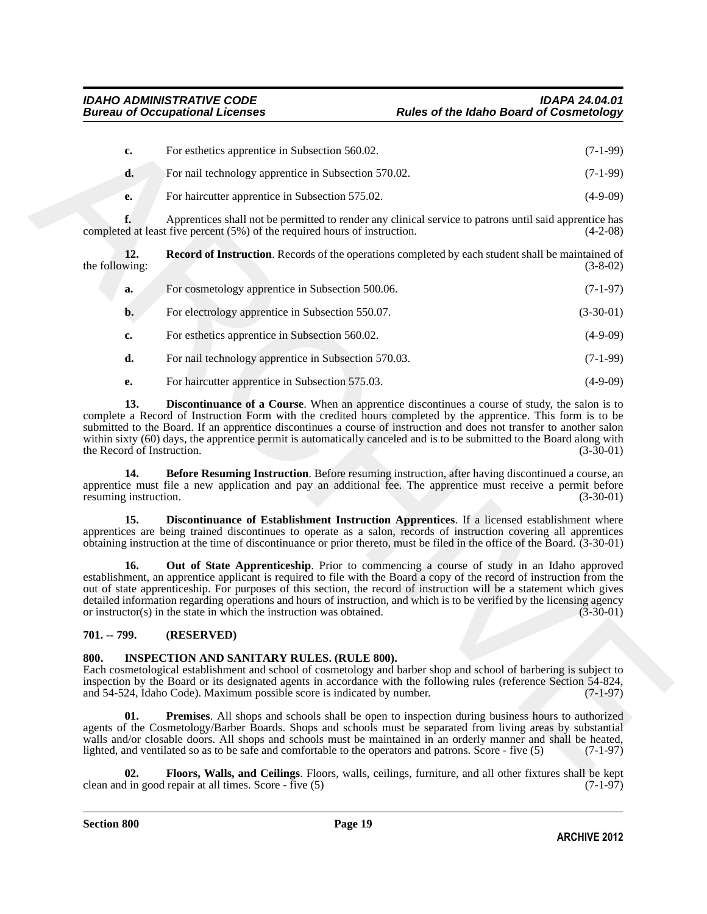<span id="page-18-6"></span><span id="page-18-3"></span>

|    | For esthetics apprentice in Subsection 560.02.       | $(7-1-99)$ |
|----|------------------------------------------------------|------------|
| a. | For nail technology apprentice in Subsection 570.02. | (7-1-99)   |
| e. | For haircutter apprentice in Subsection 575.02.      | $(4-9-09)$ |

| c.                                                         | For esthetics apprentice in Subsection 560.02.                                                                                                                                                                                                                                                                                                                                                                                                                                                                                               | $(7-1-99)$                 |
|------------------------------------------------------------|----------------------------------------------------------------------------------------------------------------------------------------------------------------------------------------------------------------------------------------------------------------------------------------------------------------------------------------------------------------------------------------------------------------------------------------------------------------------------------------------------------------------------------------------|----------------------------|
| d.                                                         | For nail technology apprentice in Subsection 570.02.                                                                                                                                                                                                                                                                                                                                                                                                                                                                                         | $(7-1-99)$                 |
| е.                                                         | For haircutter apprentice in Subsection 575.02.                                                                                                                                                                                                                                                                                                                                                                                                                                                                                              | $(4-9-09)$                 |
| f.                                                         | Apprentices shall not be permitted to render any clinical service to patrons until said apprentice has<br>completed at least five percent (5%) of the required hours of instruction.                                                                                                                                                                                                                                                                                                                                                         | $(4-2-08)$                 |
| 12.<br>the following:                                      | <b>Record of Instruction</b> . Records of the operations completed by each student shall be maintained of                                                                                                                                                                                                                                                                                                                                                                                                                                    | $(3-8-02)$                 |
| a.                                                         | For cosmetology apprentice in Subsection 500.06.                                                                                                                                                                                                                                                                                                                                                                                                                                                                                             | $(7-1-97)$                 |
| $\mathbf{b}$ .                                             | For electrology apprentice in Subsection 550.07.                                                                                                                                                                                                                                                                                                                                                                                                                                                                                             | $(3-30-01)$                |
| c.                                                         | For esthetics apprentice in Subsection 560.02.                                                                                                                                                                                                                                                                                                                                                                                                                                                                                               | $(4-9-09)$                 |
| d.                                                         | For nail technology apprentice in Subsection 570.03.                                                                                                                                                                                                                                                                                                                                                                                                                                                                                         | $(7-1-99)$                 |
| е.                                                         | For haircutter apprentice in Subsection 575.03.                                                                                                                                                                                                                                                                                                                                                                                                                                                                                              | $(4-9-09)$                 |
| the Record of Instruction.<br>14.<br>resuming instruction. | submitted to the Board. If an apprentice discontinues a course of instruction and does not transfer to another salon<br>within sixty (60) days, the apprentice permit is automatically canceled and is to be submitted to the Board along with<br>Before Resuming Instruction. Before resuming instruction, after having discontinued a course, an<br>apprentice must file a new application and pay an additional fee. The apprentice must receive a permit before                                                                          | $(3-30-01)$<br>$(3-30-01)$ |
| 15.                                                        | Discontinuance of Establishment Instruction Apprentices. If a licensed establishment where<br>apprentices are being trained discontinues to operate as a salon, records of instruction covering all apprentices<br>obtaining instruction at the time of discontinuance or prior thereto, must be filed in the office of the Board. (3-30-01)                                                                                                                                                                                                 |                            |
| 16.                                                        | Out of State Apprenticeship. Prior to commencing a course of study in an Idaho approved<br>establishment, an apprentice applicant is required to file with the Board a copy of the record of instruction from the<br>out of state apprenticeship. For purposes of this section, the record of instruction will be a statement which gives<br>detailed information regarding operations and hours of instruction, and which is to be verified by the licensing agency<br>or instructor(s) in the state in which the instruction was obtained. | $(3-30-01)$                |
| 701. -- 799.                                               | (RESERVED)                                                                                                                                                                                                                                                                                                                                                                                                                                                                                                                                   |                            |
| 800.                                                       | <b>INSPECTION AND SANITARY RULES. (RULE 800).</b><br>Each cosmetological establishment and school of cosmetology and barber shop and school of barbering is subject to<br>inspection by the Board or its designated agents in accordance with the following rules (reference Section 54-824,<br>and 54-524, Idaho Code). Maximum possible score is indicated by number.                                                                                                                                                                      | $(7-1-97)$                 |
| 01.                                                        | <b>Premises.</b> All shops and schools shall be open to inspection during business hours to authorized<br>agents of the Cosmetology/Barber Boards. Shops and schools must be separated from living areas by substantial<br>walls and/or closable doors. All shops and schools must be maintained in an orderly manner and shall be heated,<br>lighted, and ventilated so as to be safe and comfortable to the operators and patrons. Score - five (5)                                                                                        | $(7-1-97)$                 |
| $\mathbf{02}$                                              | <b>Floors.</b> Walls, and Ceilings. Floors, walls, ceilings, furniture, and all other fixtures shall be kept                                                                                                                                                                                                                                                                                                                                                                                                                                 |                            |

### <span id="page-18-5"></span><span id="page-18-4"></span><span id="page-18-2"></span><span id="page-18-0"></span>**701. -- 799. (RESERVED)**

### <span id="page-18-9"></span><span id="page-18-7"></span><span id="page-18-1"></span>**800. INSPECTION AND SANITARY RULES. (RULE 800).**

<span id="page-18-8"></span>**Floors, Walls, and Ceilings**. Floors, walls, ceilings, furniture, and all other fixtures shall be kept repair at all times. Score - five (5) (7-1-97) clean and in good repair at all times. Score - five  $(5)$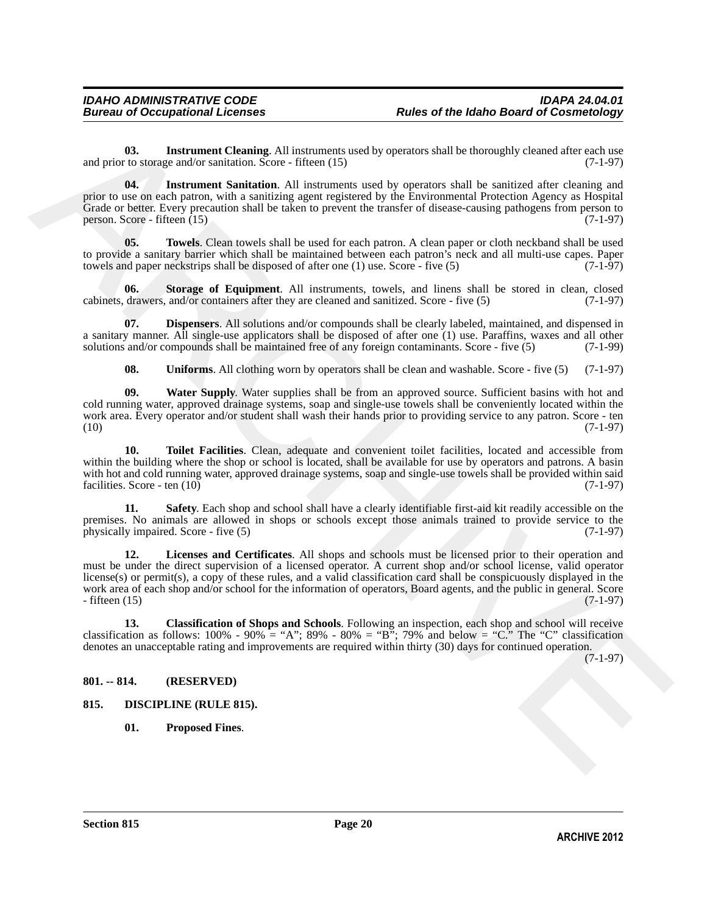<span id="page-19-6"></span>**03.** Instrument Cleaning. All instruments used by operators shall be thoroughly cleaned after each use and prior to storage and/or sanitation. Score - fifteen (15) (7-1-97)

<span id="page-19-7"></span>**04. Instrument Sanitation**. All instruments used by operators shall be sanitized after cleaning and prior to use on each patron, with a sanitizing agent registered by the Environmental Protection Agency as Hospital Grade or better. Every precaution shall be taken to prevent the transfer of disease-causing pathogens from person to person. Score - fifteen  $(15)$  (7-1-97)

<span id="page-19-12"></span>**05. Towels**. Clean towels shall be used for each patron. A clean paper or cloth neckband shall be used to provide a sanitary barrier which shall be maintained between each patron's neck and all multi-use capes. Paper towels and paper neckstrips shall be disposed of after one  $(1)$  use. Score - five  $(5)$   $(7-1-97)$ towels and paper neckstrips shall be disposed of after one (1) use. Score - five (5)

<span id="page-19-10"></span>**06. Storage of Equipment**. All instruments, towels, and linens shall be stored in clean, closed cabinets, drawers, and/or containers after they are cleaned and sanitized. Score - five (5) (7-1-97)

**07. Dispensers**. All solutions and/or compounds shall be clearly labeled, maintained, and dispensed in a sanitary manner. All single-use applicators shall be disposed of after one (1) use. Paraffins, waxes and all other solutions and/or compounds shall be maintained free of any foreign contaminants. Score - five (5) (7-1-99)

<span id="page-19-14"></span><span id="page-19-13"></span><span id="page-19-11"></span><span id="page-19-5"></span>**08.** Uniforms. All clothing worn by operators shall be clean and washable. Score - five (5) (7-1-97)

**09. Water Supply**. Water supplies shall be from an approved source. Sufficient basins with hot and cold running water, approved drainage systems, soap and single-use towels shall be conveniently located within the work area. Every operator and/or student shall wash their hands prior to providing service to any patron. Score - ten (10) (7-1-97)  $(10)$  (10)

**10. Toilet Facilities**. Clean, adequate and convenient toilet facilities, located and accessible from within the building where the shop or school is located, shall be available for use by operators and patrons. A basin with hot and cold running water, approved drainage systems, soap and single-use towels shall be provided within said facilities. Score - ten (10) (7-1-97) facilities. Score - ten  $(10)$ 

<span id="page-19-9"></span><span id="page-19-8"></span>**Safety**. Each shop and school shall have a clearly identifiable first-aid kit readily accessible on the premises. No animals are allowed in shops or schools except those animals trained to provide service to the physically impaired. Score - five (5) (7-1-97) physically impaired. Score - five  $(5)$ 

00. Instrument Cleaning, All instrument tieseling expansion shall be changedly cleaned after such that<br>
and priori unitseligent to the control of the control of the control of the control of the control of the control of **12. Licenses and Certificates**. All shops and schools must be licensed prior to their operation and must be under the direct supervision of a licensed operator. A current shop and/or school license, valid operator license(s) or permit(s), a copy of these rules, and a valid classification card shall be conspicuously displayed in the work area of each shop and/or school for the information of operators, Board agents, and the public in general. Score - fifteen (15) - fifteen (15) (7-1-97)

<span id="page-19-4"></span>**13. Classification of Shops and Schools**. Following an inspection, each shop and school will receive classification as follows:  $100\%$  -  $90\%$  = "A";  $89\%$  -  $80\%$  = "B";  $79\%$  and below = "C." The "C" classification denotes an unacceptable rating and improvements are required within thirty (30) days for continued operation.

(7-1-97)

### <span id="page-19-0"></span>**801. -- 814. (RESERVED)**

- <span id="page-19-3"></span><span id="page-19-2"></span><span id="page-19-1"></span>**815. DISCIPLINE (RULE 815).**
	- **01. Proposed Fines**.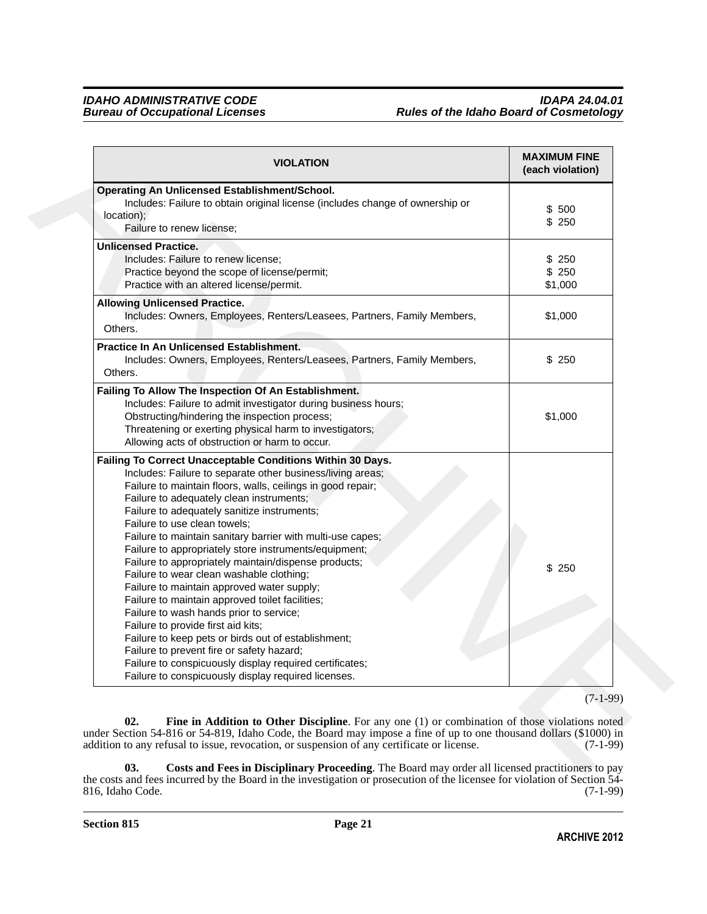| <b>VIOLATION</b>                                                                                                                                                                                                                                                                                                                                                                                                                                                                                                                                                                                                                                                                                                                                                                                                                                                                                                                                      | <b>MAXIMUM FINE</b><br>(each violation) |
|-------------------------------------------------------------------------------------------------------------------------------------------------------------------------------------------------------------------------------------------------------------------------------------------------------------------------------------------------------------------------------------------------------------------------------------------------------------------------------------------------------------------------------------------------------------------------------------------------------------------------------------------------------------------------------------------------------------------------------------------------------------------------------------------------------------------------------------------------------------------------------------------------------------------------------------------------------|-----------------------------------------|
| <b>Operating An Unlicensed Establishment/School.</b><br>Includes: Failure to obtain original license (includes change of ownership or<br>location);<br>Failure to renew license;                                                                                                                                                                                                                                                                                                                                                                                                                                                                                                                                                                                                                                                                                                                                                                      | \$500<br>\$250                          |
| <b>Unlicensed Practice.</b><br>Includes: Failure to renew license;<br>Practice beyond the scope of license/permit;<br>Practice with an altered license/permit.                                                                                                                                                                                                                                                                                                                                                                                                                                                                                                                                                                                                                                                                                                                                                                                        | \$250<br>\$250<br>\$1,000               |
| <b>Allowing Unlicensed Practice.</b><br>Includes: Owners, Employees, Renters/Leasees, Partners, Family Members,<br>Others.                                                                                                                                                                                                                                                                                                                                                                                                                                                                                                                                                                                                                                                                                                                                                                                                                            | \$1,000                                 |
| Practice In An Unlicensed Establishment.<br>Includes: Owners, Employees, Renters/Leasees, Partners, Family Members,<br>Others.                                                                                                                                                                                                                                                                                                                                                                                                                                                                                                                                                                                                                                                                                                                                                                                                                        | \$250                                   |
| Failing To Allow The Inspection Of An Establishment.<br>Includes: Failure to admit investigator during business hours;<br>Obstructing/hindering the inspection process;<br>Threatening or exerting physical harm to investigators;<br>Allowing acts of obstruction or harm to occur.                                                                                                                                                                                                                                                                                                                                                                                                                                                                                                                                                                                                                                                                  | \$1,000                                 |
| Failing To Correct Unacceptable Conditions Within 30 Days.<br>Includes: Failure to separate other business/living areas;<br>Failure to maintain floors, walls, ceilings in good repair;<br>Failure to adequately clean instruments;<br>Failure to adequately sanitize instruments;<br>Failure to use clean towels;<br>Failure to maintain sanitary barrier with multi-use capes;<br>Failure to appropriately store instruments/equipment;<br>Failure to appropriately maintain/dispense products;<br>Failure to wear clean washable clothing;<br>Failure to maintain approved water supply;<br>Failure to maintain approved toilet facilities;<br>Failure to wash hands prior to service;<br>Failure to provide first aid kits;<br>Failure to keep pets or birds out of establishment;<br>Failure to prevent fire or safety hazard;<br>Failure to conspicuously display required certificates;<br>Failure to conspicuously display required licenses. | \$250                                   |
|                                                                                                                                                                                                                                                                                                                                                                                                                                                                                                                                                                                                                                                                                                                                                                                                                                                                                                                                                       | $(7-1-99)$                              |

<span id="page-20-1"></span><span id="page-20-0"></span>**03. Costs and Fees in Disciplinary Proceeding**. The Board may order all licensed practitioners to pay the costs and fees incurred by the Board in the investigation or prosecution of the licensee for violation of Section 54- 816, Idaho Code. (7-1-99)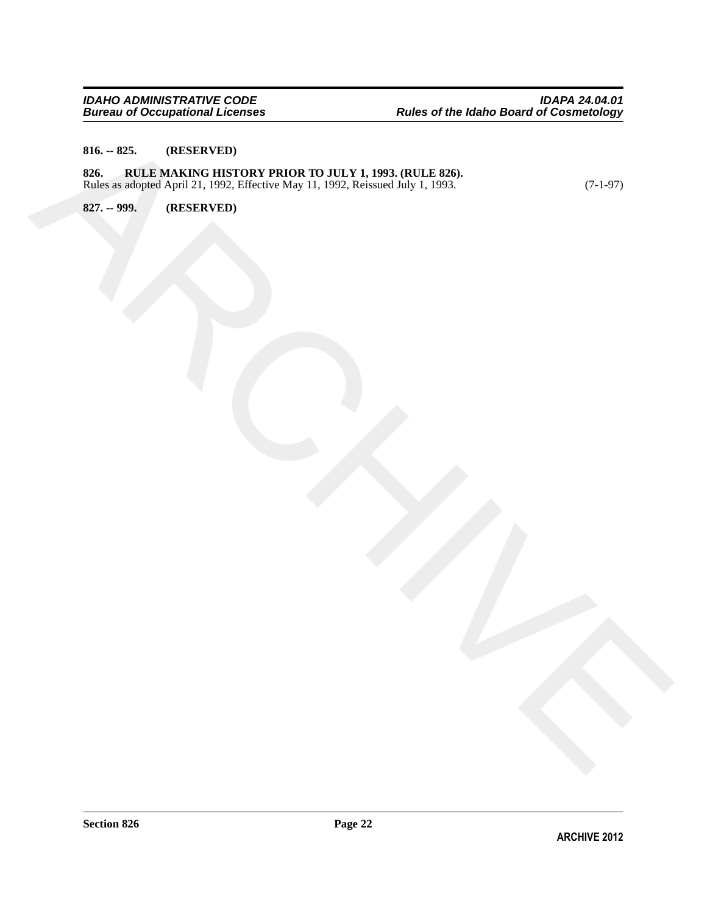### <span id="page-21-1"></span><span id="page-21-0"></span>**816. -- 825. (RESERVED)**

RA ... NES. (RESERVED)<br>
PARCHIVES (RESERVED)<br>
REGISTRO (RESERVED)<br>
REGISTRO (RESERVED)<br>
REGISTRO (RESERVED)<br>
REGISTRO (RESERVED) **826. RULE MAKING HISTORY PRIOR TO JULY 1, 1993. (RULE 826).** Rules as adopted April 21, 1992, Effective May 11, 1992, Reissued July 1, 1993. (7-1-97)

<span id="page-21-2"></span>**827. -- 999. (RESERVED)**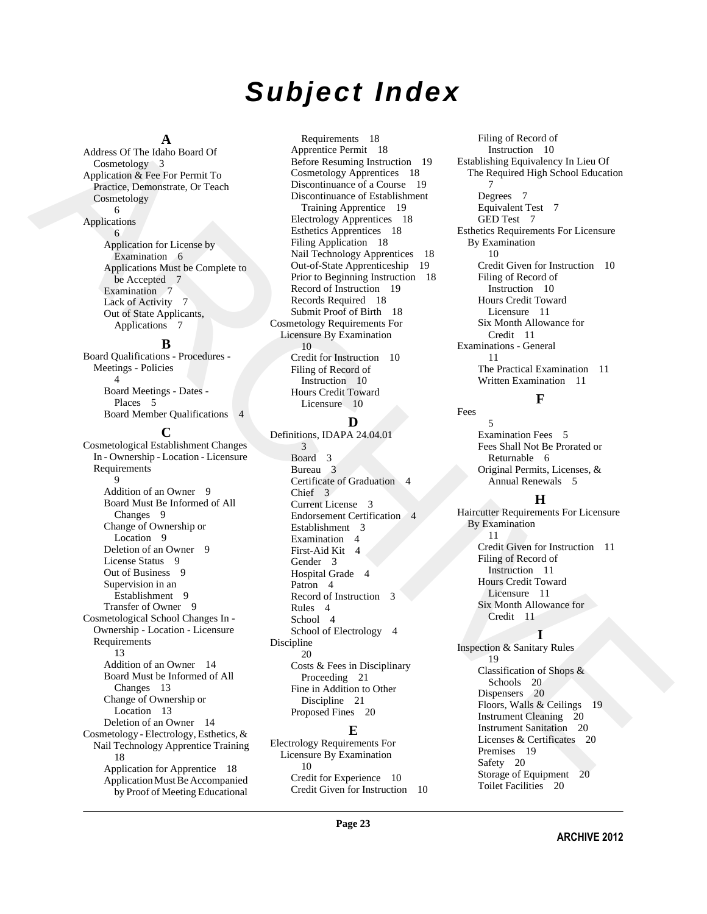## *Subject Index*

### **A**

Address Of The Idaho Board Of Cosmetology 3 Application & Fee For Permit To Practice, Demonstrate, Or Teach Cosmetology 6

### Applications

 6 Application for License by Examination 6 Applications Must be Complete to be Accepted 7 Examination 7 Lack of Activity 7 Out of State Applicants, Applications 7

### **B**

Board Qualifications - Procedures - Meetings - Policies 4 Board Meetings - Dates - Places 5 Board Member Qualifications 4

[A](#page-2-10)skben-Of The John School of The Marchigan School of The Marchigan School of The Marchigan School of The Marchigan School of The Marchigan School of The Marchigan School of The Marchigan School of The Marchigan School of **C** Cosmetological Establishment Changes In - Ownership - Location - Licensure Requirements 9 Addition of an Owner 9 Board Must Be Informed of All Changes 9 Change of Ownership or Location 9 Deletion of an Owner 9 License Status 9 Out of Business 9 Supervision in an Establishment 9 Transfer of Owner 9 Cosmetological School Changes In - Ownership - Location - Licensure Requirements 13 Addition of an Owner 14 Board Must be Informed of All Changes 13 Change of Ownership or Location 13 Deletion of an Owner 14 Cosmetology - Electrology, Esthetics, & Nail Technology Apprentice Training 18 Application for Apprentice 18 [Application Must Be Accompanied](#page-17-3)  by Proof of Meeting Educational

Requirements 18 Apprentice Permit 18 Before Resuming Instruction 19 Cosmetology Apprentices 18 Discontinuance of a Course 19 Discontinuance of Establishment Training Apprentice 19 Electrology Apprentices 18 Esthetics Apprentices 18 Filing Application 18 Nail Technology Apprentices 18 Out-of-State Apprenticeship 19 Prior to Beginning Instruction 18 Record of Instruction 19 Records Required 18 Submit Proof of Birth 18 Cosmetology Requirements For Licensure By Examination 10 Credit for Instruction 10 Filing of Record of Instruction 10 Hours Credit Toward Licensure 10

### **D**

Definitions, IDAPA 24.04.01 3 Board 3 Bureau 3 Certificate of Graduation 4 Chief 3 Current License 3 Endorsement Certification 4 Establishment 3 Examination 4 First-Aid Kit 4 Gender 3 Hospital Grade 4 Patron 4 Record of Instruction Rules 4 School 4 School of Electrology 4 Discipline 20 Costs & Fees in Disciplinary Proceeding 21 Fine in Addition to Other Discipline 21 Proposed Fines 20

### **E**

Electrology Requirements For Licensure By Examination 10 [Credit for Experience 10](#page-9-10) [Credit Given for Instruction 10](#page-9-11)

Filing of Record of Instruction 10 Establishing Equivalency In Lieu Of The Required High School Education 7 Degrees 7 Equivalent Test 7 GED Test 7 Esthetics Requirements For Licensure By Examination 10 Credit Given for Instruction 10 Filing of Record of Instruction 10 Hours Credit Toward Licensure 11 Six Month Allowance for Credit 11 Examinations - General 11 The Practical Examination 11 Written Examination 11

### **F**

Fees 5 Examination Fees 5 Fees Shall Not Be Prorated or Returnable 6 Original Permits, Licenses, & Annual Renewals 5

### **H**

Haircutter Requirements For Licensure By Examination 11 Credit Given for Instruction 11 Filing of Record of Instruction 11 Hours Credit Toward Licensure 11 Six Month Allowance for Credit 11

### **I**

Inspection & Sanitary Rules 19 Classification of Shops & Schools 20 Dispensers 20 Floors, Walls & Ceilings Instrument Cleaning 20 Instrument Sanitation 20 Licenses & Certificates 20 Premises 19 Safety 20 Storage of Equipment 20 [Toilet Facilities 20](#page-19-11)